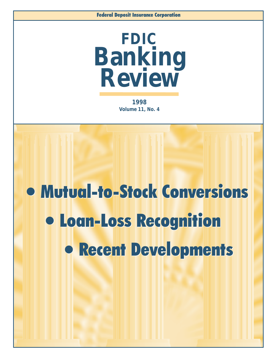

**1998 Volume 11, No. 4**

# l Mutual-to-Stock Conversions l Mutual-to-Stock Conversions l Loan-Loss Recognition l Loan-Loss Recognition **• Recent Developments**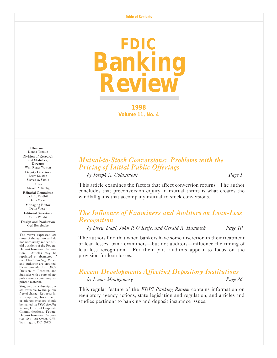

**1998 Volume 11, No. 4**

Chairman Donna Tanoue Division of Research and Statistics, **Director** Wm. Roger Watson Deputy Directors Barry Kolatch Steven A. Seelig Editor Steven A. Seelig Editorial Committee Jack T. Reidhill Detta Voesar Managing Editor Detta Voesar Editorial Secretary

Cathy Wright Design and Production Geri Bonebrake

The views expressed are those of the authors and do not necessarily reflect official positions of the Federal Deposit Insurance Corporation. Articles may be reprinted or abstracted if the *FDIC Banking Review* and author(s) are credited. Please provide the FDIC's Division of Research and Statistics with a copy of any publications containing reprinted material.

Single-copy subscriptions are available to the public free of charge. Requests for subscriptions, back issues or address changes should be mailed to: *FDIC Banking Review*, Office of Corporate Communications, Federal Deposit Insurance Corporation, 550 17th Street, N.W., Washington, DC 20429.

## *Mutual-to-Stock Conversions: Problems with the Pricing of Initial Public Offerings*

*by Joseph A. Colantuoni Page 1*

This article examines the factors that affect conversion returns. The author concludes that preconversion equity in mutual thrifts is what creates the windfall gains that accompany mutual-to-stock conversions.

## *The Influence of Examiners and Auditors on Loan-Loss Recognition*

*by Drew Dahl, John P. OKeefe, and Gerald A. Hanweck Page 10* 

The authors find that when bankers have some discretion in their treatment of loan losses, bank examiners—but not auditors—influence the timing of loan-loss recognition. For their part, auditors appear to focus on the provision for loan losses.

## *Recent Developments Affecting Depository Institutions by Lynne Montgomery Page 26*

This regular feature of the *FDIC Banking Review* contains information on regulatory agency actions, state legislation and regulation, and articles and studies pertinent to banking and deposit insurance issues.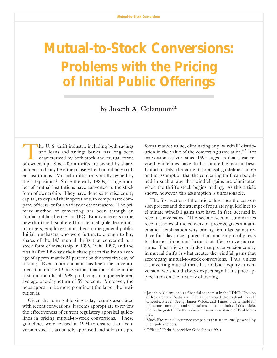# **Mutual-to-Stock Conversions: Problems with the Pricing of Initial Public Offering**

by Joseph A. Colantuoni\*

The U.S. thrift industry, including both savings and loans and savings banks, has long been characterized by both stock and mutual forms of ownership. Stock-form thrifts are owned by shareholders and may be either closely held or publicly traded institutions. Mutual thrifts are typically owned by their depositors.1 Since the early 1980s, a large number of mutual institutions have converted to the stock form of ownership. They have done so to raise equity capital, to expand their operations, to compensate company officers, or for a variety of other reasons. The primary method of converting has been through an "initial public offering," or IPO. Equity interests in the new thrift are first offered for sale to eligible depositors, managers, employees, and then to the general public. Initial purchasers who were fortunate enough to buy shares of the 143 mutual thrifts that converted to a stock form of ownership in 1995, 1996, 1997, and the first half of 1998 saw their share prices rise by an average of approximately 24 percent on the very first day of trading. Even more dramatic has been the price appreciation on the 13 conversions that took place in the first four months of 1998, producing an unprecedented average one-day return of 59 percent. Moreover, the pops appear to be more prominent the larger the institution is.

Given the remarkable single-day returns associated with recent conversions, it seems appropriate to review the effectiveness of current regulatory appraisal guidelines in pricing mutual-to-stock conversions. These guidelines were revised in 1994 to ensure that "conversion stock is accurately appraised and sold at its pro

forma market value, eliminating any 'windfall' distribution in the value of the converting association."<sup>2</sup> Yet conversion activity since 1994 suggests that these revised guidelines have had a limited effect at best. Unfortunately, the current appraisal guidelines hinge on the assumption that the converting thrift can be valued in such a way that windfall gains are eliminated when the thrift's stock begins trading. As this article shows, however, this assumption is unreasonable.

The first section of the article describes the conversion process and the attempt of regulatory guidelines to eliminate windfall gains that have, in fact, accrued in recent conversions. The second section summarizes recent studies of the conversion process, gives a mathematical explanation why pricing formulas cannot reduce first-day price appreciation, and empirically tests for the most important factors that affect conversion returns. The article concludes that preconversion equity in mutual thrifts is what creates the windfall gains that accompany mutual-to-stock conversions. Thus, unless a converting mutual thrift has no book equity at conversion, we should always expect significant price appreciation on the first day of trading.

<sup>\*</sup> Joseph A. Colantuoni is a financial economist in the FDICs Division of Research and Statistics. The author would like to thank John P. OKeefe, Steven Seelig, James Wilcox and Timothy Critchfield for numerous comments and suggestions on earlier drafts of this article. He is also grateful for the valuable research assistance of Paul Moloney.

<sup>1</sup> Much like mutual insurance companies that are mutually owned by their policyholders.

<sup>2</sup> Office of Thrift Supervision Guidelines (1994).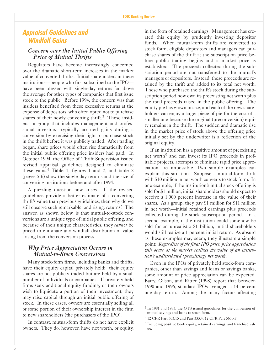## **Appraisal Guidelines and Windfall Gains**

## *Concern over the Initial Public Offering Price of Mutual Thrifts*

Regulators have become increasingly concerned over the dramatic short-term increases in the market value of converted thrifts. Initial shareholders in these institutions—people who first subscribed to the IPO have been blessed with single-day returns far above the average for other types of companies that first issue stock to the public. Before 1994, the concern was that insiders benefited from these excessive returns at the expense of depositors, who often opted not to purchase shares of their newly converting thrift.<sup>3</sup> These insiders—a group that includes management and professional investors—typically accrued gains during a conversion by exercising their right to purchase stock in the thrift before it was publicly traded. After trading began, share prices would often rise dramatically from the initial public offering price insiders had paid. In October 1994, the Office of Thrift Supervision issued revised appraisal guidelines designed to eliminate these gains.4 Table 1, figures 1 and 2, and table 2 (pages 5-6) show the single-day returns and the size of converting institutions before and after 1994.

A puzzling question now arises. If the revised guidelines provide a better estimate of a converting thrift's value than previous guidelines, then why do we still observe such remarkable, and rising, returns? The answer, as shown below, is that mutual-to-stock conversions are a unique type of initial public offering, and because of their unique characteristics, they *cannot* be priced to eliminate any windfall distribution of value arising from the conversion process.

## *Why Price Appreciation Occurs in Mutual-to-Stock Conversions*

Many stock-form firms, including banks and thrifts, have their equity capital privately held: their equity shares are not publicly traded but are held by a small number of individuals or companies. If privately held firms seek additional equity funding, or their owners wish to liquidate a portion of their investment, they may raise capital through an initial public offering of stock. In these cases, owners are essentially selling all or some portion of their ownership interest in the firm to new shareholders (the purchasers of the IPO).

In contrast, mutual-form thrifts do not have explicit owners. They do, however, have net worth, or equity,

in the form of retained earnings. Management has created this equity by prudently investing depositor funds. When mutual-form thrifts are converted to stock form, eligible depositors and managers can purchase shares of the thrift at the subscription price before public trading begins and a market price is established. The proceeds collected during the subscription period are not transferred to the mutual's managers or depositors. Instead, these proceeds are retained by the thrift and added to its total net worth. Those who purchased the thrift's stock during the subscription period now own its preexisting net worth plus the total proceeds raised in the public offering. The equity pie has grown in size, and each of the new shareholders can enjoy a larger piece of pie for the cost of a smaller one because the original (preconversion) equity remains in the thrift. The sudden and dramatic rise in the market price of stock above the offering price initially set by the underwriter is a reflection of the original equity.

If an institution has a positive amount of preexisting net worth<sup>5</sup> and can invest its IPO proceeds in profitable projects, attempts to eliminate rapid price appreciation are impossible. Two simple examples can explain this situation. Suppose a mutual-form thrift with \$10 million in net worth converts to stock form. In one example, if the institution's initial stock offering is sold for \$1 million, initial shareholders should expect to receive a 1,000 percent increase in the value of their shares. As a group, they pay \$1 million for \$11 million in net worth—initial retained earnings plus proceeds collected during the stock subscription period. In a second example, if the institution could somehow be sold for an unrealistic \$1 billion, initial shareholders would still realize a 1 percent initial return. As absurd as these examples may seem, they illustrate a simple point: *Regardless of the final IPO price, price appreciation will occur as the market realizes the value of an institution's undistributed (preexisting) net worth.* 

Even in the IPOs of privately held stock-form companies, other than savings and loans or savings banks, some amount of price appreciation can be expected. Barry, Gilson, and Ritter (1998) report that between 1990 and 1996, standard IPOs averaged a 14 percent one-day return. Among the many factors affecting

<sup>3</sup> In 1981 and 1983, the OTS issued guidelines for the conversion of mutual savings and loans to stock form.

<sup>4</sup> 12 CFR Part 303.15 and Part 333.4, 12 CFR Part 563b.7

<sup>5</sup> Including positive book equity, retained earnings, and franchise value.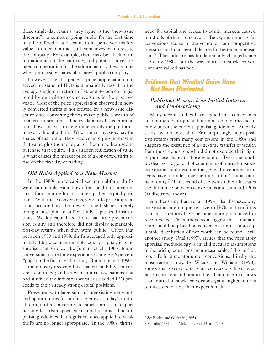these single-day returns, they argue, is the "new-issue" discount": a company going public for the first time may be offered at a discount to its perceived market value in order to attract sufficient investor interest to the company. For example, there may be a lack of information about the company, and potential investors need compensation for the additional risk they assume when purchasing shares of a "new" public company.

However, the 14 percent price appreciation observed for standard IPOs is dramatically less than the average single-day returns of 40 and 44 percent registered by mutual-to-stock conversions in the past two years. Most of the price appreciation observed in newly converted thrifts is not created by a new-issue discount since converting thrifts make public a wealth of financial information. The availability of this information allows analysts to determine readily the pro forma market value of a thrift. When initial investors pay for shares of that value, they receive an equity interest in that value plus the money all of them together used to purchase that equity. This sudden realization of value is what causes the market price of a converted thrift to rise on the first day of trading.

#### *Old Rules Applied to a New Market*

In the 1980s, undercapitalized mutual-form thrifts were commonplace and they often sought to convert to stock form in an effort to shore up their capital positions. With these conversions, very little price appreciation occurred as the newly issued shares merely brought in capital to buffer thinly capitalized institutions. Weakly capitalized thrifts had little preconversion equity and therefore did not display remarkable first-day returns when they went public. Given that between 1980 and 1989, thrifts averaged only approximately 1.6 percent in tangible equity capital, it is no surprise that studies like Jordan, et al. (1986) found conversions at the time experienced a mere 5.6 percent "pop" on the first day of trading. But in the mid-1990s, as the industry recovered its financial stability, conversions continued; and stalwart mutual associations that had survived the industry's worst crisis added IPO proceeds to their already strong capital positions.

Presented with large sums of preexisting net worth and opportunities for profitable growth, today's mutual-form thrifts converting to stock form can expect nothing less than spectacular initial returns. The appraisal guidelines that regulators once applied to weak thrifts are no longer appropriate. In the 1980s, thrifts

need for capital and access to equity markets caused hundreds of them to convert. Today, the impetus for conversions seems to derive more from competitive pressures and managerial desires for better compensation.6 The industry has fundamentally changed since the early 1980s, but the way mutual-to-stock conversions are valued has not.

## **Evidence That Windfall Gains Have Not Been Eliminated**

## *Published Research on Initial Returns and Underpricing*

Many recent studies have argued that conversions are not merely mispriced but impossible to price accurately under the current appraisal guidelines. An early study, by Jordan et al. (1986), surprisingly notes positive returns from many conversions in the 1980s and suggests the existence of a one-time transfer of wealth from those depositors who did not exercise their right to purchase shares to those who did. Two other studies discuss the general phenomenon of mutual-to-stock conversions and describe the general incentives managers have to underprice their institution's initial public offering.7 The second of the two studies illustrates the difference between conversions and standard IPOs (as discussed above).

Another study, Barth et al. (1994), also discusses why conversions are unique relative to IPOs and confirms that initial returns have become more pronounced in recent years. The authors even suggest that a moratorium should be placed on conversions until a more equitable distribution of net worth can be found. Still another study, Unal (1997), argues that the regulatory appraisal methodology is invalid because assumptions in the pricing equations are unreasonable. This author, too, calls for a moratorium on conversions. Finally, the most recent study, by Wilcox and Williams (1998), shows that excess returns on conversions have been fairly consistent and predictable. Their research shows that mutual-to-stock conversions grant higher returns to investors for less-than-expected risk.

<sup>&</sup>lt;sup>6</sup> See Eccles and O'Keefe (1995).

<sup>7</sup> Masulis (1987) and Maksimovic and Unal (1993).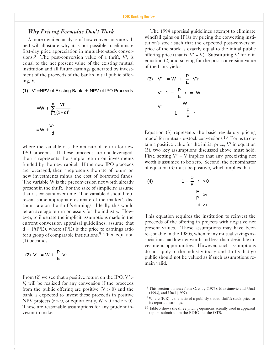#### *Why Pricing Formulas Dont Work*

A more detailed analysis of how conversions are valued will illustrate why it is not possible to eliminate first-day price appreciation in mutual-to-stock conversions.<sup>8</sup> The post-conversion value of a thrift,  $V'$ , is equal to the net present value of the existing mutual institution and all future earnings generated by investment of the proceeds of the bank's initial public offering, V.

 $(1)$  V' = NPV of Existing Bank  $+$  NPV of IPO Proceeds

$$
= W + \sum_{t=1}^{\infty} \frac{Vr}{(1+d)^{t}}
$$

$$
= W + \frac{Vr}{d}
$$

where the variable r is the net rate of return for new IPO proceeds. If these proceeds are not leveraged, then r represents the simple return on investments funded by the new capital. If the new IPO proceeds are leveraged, then r represents the rate of return on new investments minus the cost of borrowed funds. The variable W is the preconversion net worth already present in the thrift. For the sake of simplicity, assume that r is constant over time. The variable d should represent some appropriate estimate of the market's discount rate on the thrift's earnings. Ideally, this would be an average return on assets for the industry. However, to illustrate the implicit assumptions made in the current conversion appraisal guidelines, assume that  $d = 1/(P/E)$ , where  $(P/E)$  is the price to earnings ratio for a group of comparable institutions.9 Then equation (1) becomes

$$
(2) V' = W + \left(\frac{P}{E}\right) Vr
$$

From (2) we see that a positive return on the IPO,  $V'$  > V, will be realized for any conversion if the proceeds from the public offering are positive  $(V > 0)$  and the bank is expected to invest these proceeds in positive NPV projects ( $r > 0$ , or equivalently,  $W > 0$  and  $r > 0$ ). These are reasonable assumptions for any prudent investor to make.

The 1994 appraisal guidelines attempt to eliminate windfall gains on IPOs by pricing the converting institution's stock such that the expected post-conversion price of the stock is exactly equal to the initial public offering price (that is,  $V' = V$ ). Substituting V' for V in equation (2) and solving for the post-conversion value of the bank yields

(3) 
$$
V' = W + \left(\frac{P}{E}\right) V'r
$$
  

$$
V' \left(1 - \left(\frac{P}{E}\right)r\right) = W
$$

$$
V' = \frac{W}{\left(1 - \left(\frac{P}{E}\right)r\right)}
$$

Equation (3) represents the basic regulatory pricing model for mutual-to-stock conversions.10 For us to obtain a positive value for the initial price,  $V'$  in equation (3), two key assumptions discussed above must hold. First, setting  $V' = V$  implies that any preexisting net worth is assumed to be zero. Second, the denominator of equation (3) must be positive, which implies that

(4) 
$$
1 - \left(\frac{P}{E}\right)r > 0
$$

$$
\left(\frac{E}{P}\right) > r
$$

$$
d > r
$$

This equation requires the institution to reinvest the proceeds of the offering in projects with negative net present values. These assumptions may have been reasonable in the 1980s, when many mutual savings associations had low net worth and less-than-desirable investment opportunities. However, such assumptions do not apply to the industry today, and thrifts that go public should not be valued as if such assumptions remain valid.

<sup>&</sup>lt;sup>8</sup> This section borrows from Cassidy (1975), Maksimovic and Unal (1993), and Unal (1997).

 $9$  Where (P/E) is the ratio of a publicly traded thrift's stock price to its reported earnings.

<sup>10</sup> Table 3 shows the three pricing equations actually used in appraisal reports submitted to the FDIC and the OTS.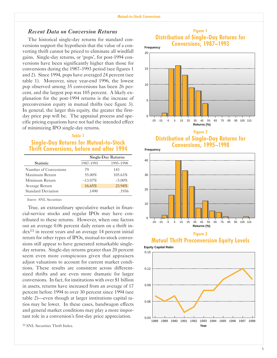## *Recent Data on Conversion Returns*

The historical single-day returns for standard conversions support the hypothesis that the value of a converting thrift cannot be priced to eliminate all windfall gains. Single-day returns, or 'pops', for post-1994 conversions have been significantly higher than those for conversions during the 1987–1993 period (see figures 1 and 2). Since 1994, pops have averaged 24 percent (see table 1). Moreover, since year-end 1996, the lowest pop observed among 35 conversions has been 26 percent, and the largest pop was 105 percent. A likely explanation for the post-1994 returns is the increase of preconversion equity in mutual thrifts (see figure 3). In general, the larger this equity, the greater the firstday price pop will be. The appraisal process and specific pricing equations have not had the intended effect of minimizing IPO single-day returns.

#### **Table 1**

## **Single-Day Returns for Mutual-to-Stock Thrift Conversions, before and after 1994**

|                           |            | Single-Day Returns |
|---------------------------|------------|--------------------|
| <b>Statistic</b>          | 1987-1993  | 1995-1998          |
| Number of Conversions     | 79         | 143                |
| Maximum Return            | 55.00%     | 105.63%            |
| Minimum Return            | $-13.07\%$ | $-5.00\%$          |
| Average Return            | 16.65%     | 23.94%             |
| <b>Standard Deviation</b> | .1490      | .1936              |

*Source:* SNL Securities

True, an extraordinary speculative market in financial-service stocks and regular IPOs may have contributed to these returns. However, when one factors out an average 0.06 percent daily return on a thrift in $dex<sup>11</sup>$  in recent years and an average 14 percent initial return for other types of IPOs, mutual-to-stock conversions still appear to have generated remarkable singleday returns. Single-day returns greater than 20 percent seem even more conspicuous given that appraisers adjust valuations to account for current market conditions. These results are consistent across differentsized thrifts and are even more dramatic for larger conversions. In fact, for institutions with over \$1 billion in assets, returns have increased from an average of 17 percent before 1994 to over 30 percent since 1994 (see table 2)—even though at larger institutions capital ratios may be lower. In these cases, bandwagon effects and general market conditions may play a more important role in a conversion's first-day price appreciation.







**Figure 2 Distribution of Single-Day Returns for Conversions, 1995-1998 Frequency**





**Equity Capital Ratio**

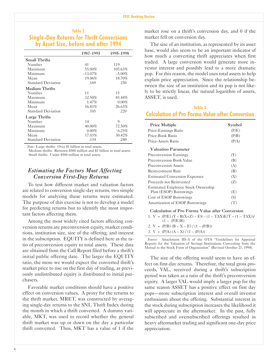## **Table 2 Single-Day Returns for Thrift Conversions by Asset Size, before and after 1994**

|                           | 1987-1993  | 1995-1998 |
|---------------------------|------------|-----------|
| Small Thrifts             |            |           |
| Number                    | 41         | 119       |
| Maximum                   | 55.00%     | 105.63%   |
| Minimum                   | $-13.07\%$ | $-5.00\%$ |
| Mean                      | 19.06%     | 18.70%    |
| <b>Standard Deviation</b> | .169       | .250      |
| Medium Thrifts            |            |           |
| Number                    | 11         | 15        |
| Maximum                   | 32.50%     | 83.44%    |
| Minimum                   | 1.47%      | $0.00\%$  |
| Mean                      | 16.83%     | 26.63%    |
| <b>Standard Deviation</b> | .105       | .220      |
| Large Thrifts             |            |           |
| Number                    | 14         | 9         |
| Maximum                   | 40.00%     | 72.50%    |
| Minimum                   | $0.00\%$   | 6.25%     |
| Mean                      | 17.03%     | 30.42%    |
| <b>Standard Deviation</b> | .134       | .240      |

*Note:* Large thrifts: Over \$1 billion in total assets.

Medium thrifts: Between \$500 million and \$1 billion in total assets. Small thrifts: Under \$500 million in total assets.

## *Estimating the Factors Most Affecting Conversion First-Day Returns*

To test how different market and valuation factors are related to conversion single-day returns, two simple models for analyzing these returns were estimated. The purpose of this exercise is not to develop a model for predicting returns but to identify the most important factors affecting them.

Among the most widely cited factors affecting conversion returns are preconversion equity, market conditions, institution size, size of the offering, and interest in the subscription. EQUITY is defined here as the ratio of preconversion equity to total assets. These data are obtained from the Call Report filed before a thrift's initial public offering date. The larger the EQUITY ratio, the more we would expect the converted thrift's market price to rise on the first day of trading, as previously undistributed equity is distributed to initial purchasers.

Favorable market conditions should have a positive effect on conversion values. A proxy for the returns to the thrift market, MRET, was constructed by averaging single-day returns to the SNL Thrift Index during the month in which a thrift converted. A dummy variable, MKT, was used to record whether the general thrift market was up or down on the day a particular thrift converted. Thus, MKT has a value of 1 if the

market rose on a thrift's conversion day, and  $0$  if the market fell on conversion day.

The size of an institution, as represented by its asset base, would also seem to be an important indicator of how much a converting thrift appreciates when first traded. A large conversion would generate more investor interest and possibly lead to a more dramatic pop. For this reason, the model uses total assets to help explain price appreciation. Since the relationship between the size of an institution and its pop is not likely to be strictly linear, the natural logarithm of assets, ASSET, is used.

## **Table 3 Calculation of Pro Forma Value after Conversion**

| <b>Price Multiple</b>                     | Symbol |
|-------------------------------------------|--------|
| Price-Earnings Ratio                      | (P/E)  |
| Price-Book Ratio                          | (P/B)  |
| Price-Assets Ratio                        | (P/A)  |
| <b>Valuation Parameter</b>                |        |
| <b>Preconversion Earnings</b>             | (Y)    |
| Preconversion Book Value                  | (B)    |
| Preconversion Assets                      | (A)    |
| Reinvestment Rate                         | (R)    |
| <b>Estimated Conversion Expenses</b>      | (X)    |
| Proceeds not Reinvested                   | (Z)    |
| <b>Estimated Employee Stock Ownership</b> |        |
| Plan (ESOP) Borrowings                    | (E)    |
| Cost of ESOP Borrowings                   | (S)    |
| Amortization of ESOP Borrowings           | ('T)   |

Calculation of Pro Forma Value after Conversion

1.  $V = (P/E) (Y - R(X+Z) - ES - (1 - TAX)E/T - (1 - TAX))$ /  $(1 - (P/E)R)$ 2. V =  $(P/B) (B - X - E) / (1 - (P/B))$ 

3. V =  $(P/A) (A - X) / (1 - (P/A))$ 

Source: Attachment III-A of the OTS "Guidelines for Appraisal Reports for the Valuation of Savings Institutions Converting from the Mutual to the Stock Form of Organization" (Revised October 21, 1994).

The size of the offering would seem to have an effect on first-day returns. Therefore, the total gross proceeds, VAL, received during a thrift's subscription period was taken as a ratio of the thrift's preconversion equity. A larger VAL would imply a larger pop for the same reason ASSET has a positive effect on first day pops—more subscription interest and overall investor enthusiasm about the offering. Substantial interest in the stock during subscription increases the likelihood it will appreciate in the aftermarket. In the past, fully subscribed and oversubscribed offerings resulted in heavy aftermarket trading and significant one-day price appreciation.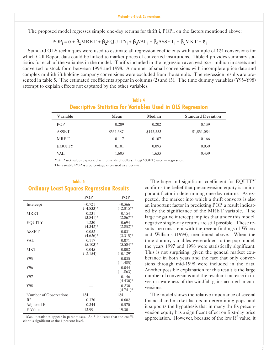The proposed model regresses simple one-day returns for thrift i, POPi, on the factors mentioned above:

#### $POP_i = \alpha + \beta_1 MRET + \beta_2 EQUITY_i + \beta_3 VAL_i + \beta_4 ASSET_i + \beta_5 MKT + ε_i$

Standard OLS techniques were used to estimate all regression coefficients with a sample of 124 conversions for which Call Report data could be linked to market prices of converted institutions. Table 4 provides summary statistics for each of the variables in the model. Thrifts included in the regression averaged \$531 million in assets and converted to stock form between 1994 and 1998. A number of small conversions with incomplete price data and complex multithrift holding company conversions were excluded from the sample. The regression results are presented in table 5. The estimated coefficients appear in columns  $(2)$  and  $(3)$ . The time dummy variables (Y95–Y98) attempt to explain effects not captured by the other variables.

## **Table 4 Descriptive Statistics for Variables Used in OLS Regression**

| Variable      | Mean      | Median    | <b>Standard Deviation</b> |
|---------------|-----------|-----------|---------------------------|
| <b>POP</b>    | 0.209     | 0.202     | 0.139                     |
| <b>ASSET</b>  | \$531,387 | \$142,253 | \$1,851,084               |
| <b>MRET</b>   | 0.117     | 0.107     | 0.166                     |
| <b>EQUITY</b> | 0.101     | 0.093     | 0.039                     |
| VAL           | 1.603     | 1.633     | 0.439                     |

*Note:* Asset values expressed as thousands of dollars. Log(ASSET) used in regression.

The variable POP is a percentage expressed as a decimal.

## **Table 5 Ordinary Least Squares Regression Results**

|                        | POP                      | POP                      |
|------------------------|--------------------------|--------------------------|
| Intercept              | $-0.721$<br>$(-4.833)^*$ | $-0.366$<br>$(-2.815)^*$ |
| <b>MRET</b>            | 0.231<br>$(3.841)^*$     | 0.154<br>$(2.867)^*$     |
| <b>EQUITY</b>          | 1.230<br>$(4.342)^*$     | 0.694<br>$(2.852)^*$     |
| <b>ASSET</b>           | 0.052<br>$(4.626)^*$     | 0.031<br>$(3.315)^*$     |
| VAL                    | 0.117<br>$(5.103)^*$     | 0.071<br>$(3.584)$ *     |
| <b>MKT</b>             | $-0.045$<br>$(-2.154)$   | $-0.002$<br>$(-0.129)$   |
| Y95                    |                          | $-0.035$<br>$(-1.485)$   |
| Y96                    |                          | $-0.044$<br>$(-1.863)$   |
| Y97                    |                          | 0.146<br>$(4.430)$ *     |
| Y98                    |                          | 0.230<br>$(4.741)^*$     |
| Number of Observations | 124                      | 124                      |
| $R^2$                  | 0.370                    | 0.602                    |
| Adjusted R             | 0.344                    | 0.570                    |
| F Value                | 13.99                    | 19.30                    |

*Note:* t-statistics appear in parentheses. An \* indicates that the coefficient is significant at the 1 percent level.

The large and significant coefficient for EQUITY confirms the belief that preconversion equity is an important factor in determining one-day returns. As expected, the market into which a thrift converts is also an important factor in predicting POP, a result indicated by the significance of the MRET variable. The large negative intercept implies that under this model, negative single-day returns are still possible. These results are consistent with the recent findings of Wilcox and Williams (1998), mentioned above. When the time dummy variables were added to the pop model, the years 1997 and 1998 were statistically significant. This is not surprising, given the general market exuberance in both years and the fact that only conversions through mid-1998 were included in the data. Another possible explanation for this result is the large number of conversions and the resultant increase in investor awareness of the windfall gains accrued in conversions.

The model shows the relative importance of several financial and market factors in determining pops, and it supports the hypothesis that in many thrifts preconversion equity has a significant effect on first-day price appreciation. However, because of the low  $\mathbb{R}^2$  value, it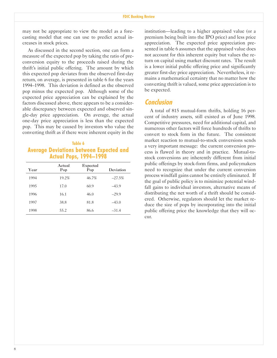may not be appropriate to view the model as a forecasting model that one can use to predict actual increases in stock prices.

As discussed in the second section, one can form a measure of the expected pop by taking the ratio of preconversion equity to the proceeds raised during the thrift's initial public offering. The amount by which this expected pop deviates from the observed first-day return, on average, is presented in table 6 for the years 1994–1998. This deviation is defined as the observed pop minus the expected pop. Although some of the expected price appreciation can be explained by the factors discussed above, there appears to be a considerable discrepancy between expected and observed single-day price appreciation. On average, the actual one-day price appreciation is less than the expected pop. This may be caused by investors who value the converting thrift as if there were inherent equity in the

## **Table 6 Average Deviations between Expected and Actual Pops, 1994–1998**

| Year | Actual<br>Pop | Expected<br>Pop | Deviation |
|------|---------------|-----------------|-----------|
| 1994 | 19.2%         | 46.7%           | $-27.5%$  |
| 1995 | 17.0          | 60.9            | $-43.9$   |
| 1996 | 16.1          | 46.0            | $-29.9$   |
| 1997 | 38.8          | 81.8            | $-43.0$   |
| 1998 | 55.2          | 86.6            | $-31.4$   |

institution—leading to a higher appraised value (or a premium being built into the IPO price) and less price appreciation. The expected price appreciation presented in table 6 assumes that the appraised value does not account for this inherent equity but values the return on capital using market discount rates. The result is a lower initial public offering price and significantly greater first-day price appreciation. Nevertheless, it remains a mathematical certainty that no matter how the converting thrift is valued, some price appreciation is to be expected.

## **Conclusion**

A total of 815 mutual-form thrifts, holding 16 percent of industry assets, still existed as of June 1998. Competitive pressures, need for additional capital, and numerous other factors will force hundreds of thrifts to convert to stock form in the future. The consistent market reaction to mutual-to-stock conversions sends a very important message: the current conversion process is flawed in theory and in practice. Mutual-tostock conversions are inherently different from initial public offerings by stock-form firms, and policymakers need to recognize that under the current conversion process windfall gains cannot be entirely eliminated. If the goal of public policy is to minimize potential windfall gains to individual investors, alternative means of distributing the net worth of a thrift should be considered. Otherwise, regulators should let the market reduce the size of pops by incorporating into the initial public offering price the knowledge that they will occur.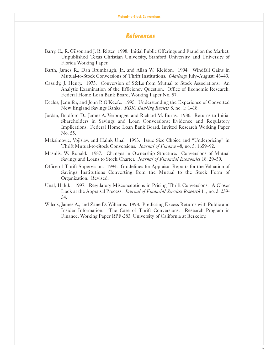## **References**

- Barry, C., R. Gilson and J. R. Ritter. 1998. Initial Public Offerings and Fraud on the Market. Unpublished Texas Christian University, Stanford University, and University of Florida Working Paper.
- Barth, James R., Dan Brumbaugh, Jr., and Allan W. Kleidon. 1994. Windfall Gains in Mutual-to-Stock Conversions of Thrift Institutions. *Challenge* July–August: 43–49.
- Cassidy, J. Henry. 1975. Conversion of S&Ls from Mutual to Stock Associations: An Analytic Examination of the Efficiency Question. Office of Economic Research, Federal Home Loan Bank Board, Working Paper No. 57.
- Eccles, Jennifer, and John P. O'Keefe. 1995. Understanding the Experience of Converted New England Savings Banks. *FDIC Banking Review* 8, no. 1: 1–18.
- Jordan, Bradford D., James A. Verbrugge, and Richard M. Burns. 1986. Returns to Initial Shareholders in Savings and Loan Conversions: Evidence and Regulatory Implications. Federal Home Loan Bank Board, Invited Research Working Paper No. 55.
- Maksimovic, Vojislav, and Haluk Unal. 1993. Issue Size Choice and "Underpricing" in Thrift Mutual-to-Stock Conversions. *Journal of Finance* 48, no. 5: 1659-92.
- Masulis, W. Ronald. 1987. Changes in Ownership Structure: Conversions of Mutual Savings and Loans to Stock Charter. *Journal of Financial Economics* 18: 29–59.
- Office of Thrift Supervision. 1994. Guidelines for Appraisal Reports for the Valuation of Savings Institutions Converting from the Mutual to the Stock Form of Organization. Revised.
- Unal, Haluk. 1997. Regulatory Misconceptions in Pricing Thrift Conversions: A Closer Look at the Appraisal Process. *Journal of Financial Services Research* 11, no. 3: 239- 54.
- Wilcox, James A., and Zane D. Williams. 1998. Predicting Excess Returns with Public and Insider Information: The Case of Thrift Conversions. Research Program in Finance, Working Paper RPF-283, University of California at Berkeley.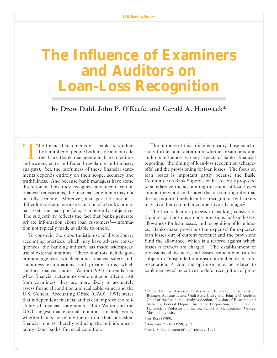## **The Influence of Examiners and Auditors on Loan-Loss Recognition**

by Drew Dahl, John P. O'Keefe, and Gerald A. Hanweck\*

The financial statements of a bank are studied<br>by a number of people both inside and outside<br>the bank (bank management, bank creditors<br>and owners state and federal regulators and industry by a number of people both inside and outside the bank (bank management, bank creditors and owners, state and federal regulators and industry analysts). Yet, the usefulness of these financial statements depends entirely on their scope, accuracy and truthfulness. And because bank managers have some discretion in how they recognize and record certain financial transactions, the financial statements may not be fully accurate. Moreover, managerial discretion is difficult to discern because valuation of a bank's principal asset, the loan portfolio, is inherently subjective. The subjectivity reflects the fact that banks generate private information about loan customers<sup>1</sup>—information not typically made available to others.

To constrain the opportunistic use of discretionary accounting practices, which may have adverse consequences, the banking industry has made widespread use of external monitors. These monitors include government agencies, which conduct financial safety-andsoundness examinations, and private firms, which conduct financial audits. Walter (1991) contends that when financial statements come out soon after a visit from examiners, they are more likely to accurately assess financial condition and realizable value; and the U.S. General Accounting Office (GAO) (1991) states that independent financial audits can improve the reliability of financial statements. Both Walter and the GAO suggest that external monitors can help verify whether banks are telling the truth in their published financial reports, thereby reducing the public's uncertainty about banks' financial condition.

The purpose of this article is to carry those conclusions further and determine whether examiners and auditors influence two key aspects of banks' financial reporting: the timing of loan-loss recognition (chargeoffs) and the provisioning for loan losses. The focus on loan losses is important partly because the Basle Committee on Bank Supervision has recently proposed to standardize the accounting treatment of loan losses around the world, and stated that accounting rules that do not require timely loan-loss recognition by bankers may give them an unfair competitive advantage. $2^{\circ}$ 

The loan-valuation process in banking consists of the interrelationships among provisions for loan losses, allowances for loan losses, and recognition of loan losses. Banks make provisions (an expense) for expected loan losses out of current revenue; and the provisions fund the allowance, which is a reserve against which losses *eventually* are charged. The establishment of provisions, allowances, and losses, some argue, can be subject to "misguided optimism or deliberate misrepresentation." $3$  And the optimism may be related to bank managers' incentives to defer recognition of prob-

<sup>\*</sup> Drew Dahl is Associate Professor of Finance, Department of Business Administration, Utah State University; John P. O'Keefe is Chief of the Economic Analysis Section, Division of Research and Statistics, Federal Deposit Insurance Corporation; and Gerald A. Hanweck is Professor of Finance, School of Management, George Mason University.

<sup>1</sup> *See* Ross (1989).

<sup>2</sup> *American Banker* (1998), p. 2.

<sup>3</sup> *See* U.S. Department of the Treasury (1991).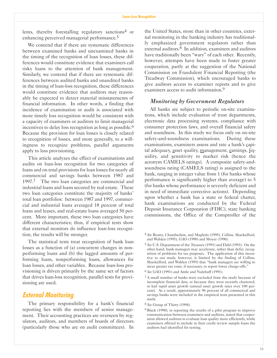lems, thereby forestalling regulatory sanctions4 or enhancing perceived managerial performance.5

We contend that if there are systematic differences between examined banks and unexamined banks in the timing of the recognition of loan losses, these differences would constitute evidence that examiners call risky loans to the attention of bank management. Similarly, we contend that if there are systematic differences between audited banks and unaudited banks in the timing of loan-loss recognition, these differences would constitute evidence that auditors may reasonably be expected to detect material misstatements of financial information. In other words, a finding that incidence of examination or audit is associated with more timely loss recognition would be consistent with a capacity of examiners or auditors to limit managerial incentives to delay loss recognition as long as possible.<sup>6</sup> Because the provision for loan losses is closely related to recognition of losses, and more generally, to a willingness to recognize problems, parallel arguments apply to loss provisioning.

This article analyzes the effect of examinations and audits on loan-loss recognition for two categories of loans and on total provisions for loan losses for nearly all commercial and savings banks between 1987 and 1997.<sup>7</sup> The two loan categories are commercial and industrial loans and loans secured by real estate. These two loan categories constitute the majority of banks total loan portfolios: between 1987 and 1997, commercial and industrial loans averaged 18 percent of total loans and leases, and real-estate loans averaged 50 percent. More important, these two loan categories have different characteristics; thus, if empirical tests show that external monitors do influence loan-loss recognition, the results will be stronger.

The statistical tests treat recognition of bank loan losses as a function of (a) concurrent changes in nonperforming loans and (b) the lagged amounts of performing loans, nonperforming loans, allowances for loan losses, and other variables. Because loan-loss provisioning is driven primarily by the same set of factors that drives loan-loss recognition, parallel tests for provisioning are used.

## **External Monitoring**

The primary responsibility for a bank's financial reporting lies with the members of senior management. Their accounting practices are overseen by regulators, auditors, and members of boards of directors (particularly those who are on audit committees). In

the United States, more than in other countries, external monitoring in the banking industry has traditionally emphasized government regulators rather than external auditors.<sup>8</sup> In addition, examiners and auditors have traditionally been "wary" of each other. Recently, however, attempts have been made to foster greater cooperation, partly at the suggestion of the National Commission on Fraudulent Financial Reporting (the Treadway Commission), which encouraged banks to give auditors access to examiner reports and to give examiners access to audit information.9

#### *Monitoring by Government Regulators*

All banks are subject to periodic on-site examinations, which include evaluation of trust departments, electronic data processing systems, compliance with consumer protection laws, and overall financial safety and soundness. In this study we focus only on on-site safety-and-soundness examinations. During these examinations, examiners assess and rate a bank's capital adequacy, asset quality, management, earnings, liquidity, and sensitivity to market risk (hence the acronym CAMELS ratings). A composite safety-andsoundness rating (CAMELS rating) is assigned to the bank, ranging in integer value from 1 (for banks whose performance is significantly higher than average) to 5 (for banks whose performance is severely deficient and in need of immediate corrective actions). Depending upon whether a bank has a state or federal charter, bank examinations are conducted by the Federal Deposit Insurance Corporation (FDIC), state banking commissions, the Office of the Comptroller of the

<sup>4</sup> *See* Beatty, Chamberlain, and Magliolo (1995), Collins, Shackelford, and Wahlen (1995), GAO (1990) and Moyer (1990).

<sup>5</sup> *See* U.S. Department of the Treasury (1991) and Dahl (1993). On the other hand, bank managers may accelerate, rather than defer, recognition of problems for tax purposes. The application of this incentive to our study, however, is limited by the finding of Collins, Shackelford, and Wahlen (1995) that "bank managers are willing to incur greater tax costs, if necessary, to report lower charge-offs.

<sup>6</sup> *See* GAO (1991) and Antle and Nalebuff (1991).

<sup>7</sup> A small number of banks were excluded from the study because of incomplete financial data, or because they were recently chartered, or had rapid asset growth (annual asset growth rates over 100 percent). As a result, approximately 96 percent of all commercial and savings banks were included in the empirical tests presented in this study.

<sup>8</sup> *See* Group of Thirty (1994).

<sup>9</sup> Black (1990), in reporting the results of a pilot program to improve communication between examiners and auditors, stated that cooperation allowed auditors to evaluate loan quality more efficiently, while examiners offered to include in their credit review sample loans the auditors had identified for testing.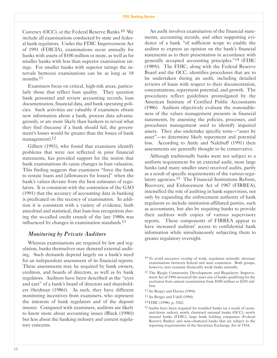Currency (OCC), or the Federal Reserve Banks.10 We include all examinations conducted by state and federal bank regulators. Under the FDIC Improvement Act of 1991 (FDICIA), examinations occur annually for banks with assets of \$100 million or more, as well as for smaller banks with less than superior examination ratings. For smaller banks with superior ratings the intervals between examinations can be as long as 18 months.<sup>11</sup>

Examiners focus on critical, high-risk areas, particularly those that reflect loan quality. They question bank personnel and review accounting records, loan documentation, financial data, and bank operating policies. Such activities are valuable if examiners obtain new information about a bank, process data advantageously, or are more likely than bankers to reveal what they find (because if a bank should fail, the government's losses would be greater than the losses of bank management).<sup>12</sup>

Gilbert (1993), who found that examiners identify problems that were not reflected in prior financial statements, has provided support for the notion that bank examinations do cause changes in loan valuation. This finding suggests that examiners "force the bank" to restate loans and [allowances for losses] when the bank's values deviate from the best estimates of regulators. It is consistent with the contention of the GAO (1991) that the accuracy of accounting data in banking is predicated on the recency of examination. In addition it is consistent with a variety of evidence, both anecdotal and statistical, that loan-loss recognition during the so-called credit crunch of the late 1980s was influenced by changes in examination standards.<sup>13</sup>

## *Monitoring by Private Auditors*

Whereas examinations are required by law and regulation, banks themselves may demand external auditing. Such demands depend largely on a bank's need for an independent assessment of its financial reports. These assessments may be required by bank owners, creditors, and boards of directors, as well as by bank regulators. Auditors have been described as the "eyes" and ears" of a bank's board of directors and shareholders (Seidman (1986)). As such, they have different monitoring incentives from examiners, who represent the interests of bank regulators and of the deposit insurer. Compared with examiners, auditors are likely to know more about accounting issues (Black (1990)) but less about the banking industry and current regulatory concerns.

An audit involves examination of the financial statements, accounting records, and other supporting evidence of a bank "of sufficient scope to enable the auditor to express an opinion on the bank's financial statements as to their presentation in accordance with generally accepted accounting principles."<sup>14</sup> (FDIC (1989)). The FDIC, along with the Federal Reserve Board and the OCC, identifies procedures that are to be undertaken during an audit, including detailed reviews of loans with respect to their documentation, concentrations, repayment potential, and growth. The procedures reflect guidelines promulgated by the American Institute of Certified Public Accountants (1986). Auditors objectively evaluate the reasonableness of the values management presents in financial statements, by assessing the policies, processes, and procedures management used to identify impaired assets. They also undertake specific tests—"asset by asset"—to determine likely repayment and potential loss. According to Antle and Nalebuff (1991) their assessments are generally thought to be conservative.

Although traditionally banks were not subject to a uniform requirement for an external audit, most large banks (and many smaller ones) received audits, partly as a result of specific requirements of the various regulatory agencies.15 The Financial Institutions Reform, Recovery, and Enforcement Act of 1987 (FIRREA), intensified the role of auditing in bank supervision, not only by expanding the enforcement authority of bank regulators to include institution-affiliated parties, such as accountants, but also by requiring banks to provide their auditors with copies of various supervisory reports. These components of FIRREA appear to have increased auditors' access to confidential bank information while simultaneously subjecting them to greater regulatory oversight.

- 10 To avoid excessive overlap of work, regulators normally alternate examinations between federal and state examiners. Both groups, however, may examine financially weak banks annually.
- 11 The Riegle Community Development and Regulatory Improvement Act of 1994 increased the asset size of banks qualifying for the exclusion from annual examination from \$100 million to \$250 million.
- 12 *See* Berger and Davies (1994).
- 13 *See* Berger and Udell (1994).
- 14 FDIC (1998), p. 5302.
- 15 Audits have been required for troubled banks (as a result of ceaseand-desist orders), newly chartered national banks (OCC), newly insured banks (FDIC), large bank holding companies (Federal Reserve Banks), and state-chartered banks that are subject to the reporting requirements of the Securities Exchange Act of 1934.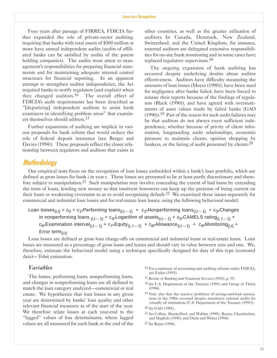Four years after passage of FIRREA, FDICIA further expanded the role of private-sector auditing, requiring that banks with total assets of \$500 million or more have annual independent audits (audits of affiliated banks can be satisfied by audits of the parent holding companies). The audits must attest to management's responsibilities for preparing financial statements and for maintaining adequate internal control structures for financial reporting. In an apparent attempt to strengthen auditor independence, the Act required banks to notify regulators (and explain) when they changed auditors.<sup>16</sup> The overall effect of FDICIAs audit requirements has been described as "[deputizing] independent auditors to assist bank examiners in identifying problem areas" that examiners themselves should address.17

Further expansions of auditing are implicit in various proposals for bank reform that would reduce the role of federal deposit insurance (see Berger and Davies (1994)). These proposals reflect the closer relationship between regulators and auditors that exists in

other countries, as well as the greater utilization of auditors. In Canada, Denmark, New Zealand, Switzerland, and the United Kingdom, for instance, external auditors are delegated extensive responsibilities for on-site bank monitoring and in some cases have replaced regulatory supervisors.18

The ongoing expansion of bank auditing has occurred despite underlying doubts about auditor effectiveness. Auditors have difficulty measuring the amounts of loan losses (Moyer (1990)), have been sued for negligence after banks failed, have been forced to reissue their reports because of the findings of regulators (Black (1990)), and have agreed with overstatements of asset values made by failed banks (GAO (1990)).19 Part of the reason for such audit failures may be that auditors do not always exert sufficient independence, whether because of privity of client information, longstanding audit relationships, economic pressure to maintain clients, opinion shopping by bankers, or the hiring of audit personnel by clients.  $20$ 

## **Methodology**

Our empirical tests focus on the recognition of loan losses embedded within a banks loan portfolio, which are defined as gross losses for bank i in year t. These losses are presumed to be at least partly discretionary and therefore subject to manipulation.<sup>21</sup> Such manipulation may involve concealing the extent of bad loans by extending the term of loans, lending new money so that insolvent borrowers can keep up the pretense of being current on their loans or weakening covenants so as to avoid recognizing default.22 We examined these issues separately for commercial and industrial loan losses and for real-estate loan losses, using the following behavioral model:

```
Loan losses<sub>(i,t)</sub> = c<sub>0</sub> + c<sub>1</sub>*Performing loans<sub>(i,t - 1)</sub> + c<sub>2</sub>*Nonperforming loans<sub>(i,t - 1)</sub> + c<sub>3</sub>*Changes
in nonperforming loans _{(i,t-1)} + c<sub>4</sub>*Logarithm of assets<sub>(i,t-1)</sub> + c<sub>5</sub>*CAMELS rating<sub>(i,t-1)</sub> +
c_{6*}Examination interval<sub>(i,t - 1)</sub> + c<sub>7</sub>*Equity<sub>(i, t - 1)</sub> + c<sub>8</sub>*Allowance<sub>(i,t - 1)</sub> + c<sub>9</sub>*Monitoring<sub>(i,t)</sub> +
Error term(i, t)
```
Loan losses are defined as gross loan charge-offs on commercial and industrial loans or real-estate loans. Loan losses are measured as a percentage of gross loans and leases and should vary in value between zero and one. We, therefore, estimate the behavioral model using a technique specifically designed for data of this type (censored data)—Tobit estimation.

## *Variables*

The losses, performing loans, nonperforming loans, and changes in nonperforming loans are all defined to match the loan category analyzed—commercial or real estate. We hypothesize that loan losses in any given year are determined by banks' loan quality and other relevant financial measures as of the start of the year. We therefore relate losses at each year-end to the "lagged" values of loss determinants, where lagged values are all measured for each bank at the end of the

- 16 For a summary of accounting and auditing reforms under FDICIA, see Fisher (1993).
- 17 *Review of Banking and Financial Services* (1992), p. 75.
- 18 *See* U.S. Department of the Treasury (1991) and Group of Thirty (1994).
- 19 Note also that the massive problems of savings-and-loan associations in the 1980s occurred despite mandatory external audits for virtually all institutions (U.S. Department of the Treasury (1991)).
- 20 *See* GAO (1991).
- 21 *See* Collins, Shackelford, and Wahlen (1995), Beatty, Chamberlain, and Magliolo (1995), and Darin and Walter (1994).
- 22 *See* Rajan (1994).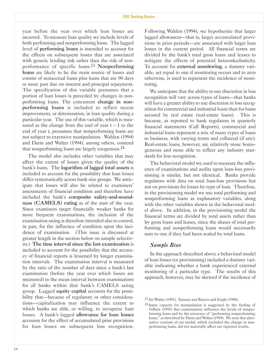year before the year over which loan losses are incurred. To measure loan quality we include levels of both performing and nonperforming loans. The lagged level of performing loans is intended to account for the effects on subsequent losses that are associated with generic lending risk rather than the risk of nonperformance of specific loans.23 Nonperforming loans are likely to be the main source of losses and consist of nonaccrual loans plus loans that are 90 days or more past due on interest and principal repayment. The specification of this variable presumes that a portion of loan losses is preceded by changes in nonperforming loans. The concurrent change in nonperforming loans is included to reflect recent improvement, or deterioration, in loan quality during a particular year. The use of this variable, which is measured as the change from the end of year  $t - 1$  to the end of year t, presumes that nonperforming loans are not subject to extensive manipulation. Wahlen (1994) and Darin and Walter (1994), among others, contend that nonperforming loans are largely exogenous.24

The model also includes other variables that may affect the extent of losses given the quality of the bank's loans. The logarithm of lagged total assets is included to account for the possibility that loan losses differ systematically across bank size groups. We anticipate that losses will also be related to examiners assessments of financial condition and therefore have included the bank's composite safety-and-soundness (CAMELS) rating as of the start of the year. Since examiners target financially weaker banks for more frequent examinations, the inclusion of the examination rating is therefore intended also to control, in part, for the influence of condition upon the incidence of examination. (This issue is discussed at greater length in the section below on sample selectivity.) The time interval since the last examination is included to account for the possibility that the accuracy of financial reports is lessened by longer examination intervals. The examination interval is measured by the ratio of the number of days since a bank's last examination (before the year over which losses are measured) to the mean interval between examinations for all banks within that bank's CAMELS rating group. Lagged equity capital accounts for the possibility that—because of regulatory or other considerations—capitalization may influence the extent to which banks are able, or willing, to recognize loan losses. A bank's lagged allowance for loan losses accounts for the effect of accumulated prior provisions for loan losses on subsequent loss recognition.

Following Wahlen (1994), we hypothesize that larger lagged allowances—that is, larger accumulated provisions in prior periods—are associated with larger loan losses in the current period. All financial terms are divided by the bank's total gross loans and leases to mitigate the effects of potential heteroskedasticity. To account for external monitoring, a dummy variable, set equal to one if monitoring occurs and to zero otherwise, is used to represent the incidence of monitoring.

We anticipate that the ability to use discretion in loss recognition will vary across types of loans—that banks will have a greater ability to use discretion in loss recognition for commercial and industrial loans than for loans secured by real estate (real-estate loans). This is because, as reported to bank regulators in quarterly financial statements (Call Reports), commercial and industrial loans represent a mix of many types of loans to business, with varying terms and collateral (if any). Real-estate loans, however, are relatively more homogeneous and more able to reflect any industry standards for loss recognition.

The behavioral model we used to measure the influence of examinations and audits upon loan-loss provisioning is similar, but not identical. Banks provide regulators with data on total loan-loss provisions but not on provisions for losses by type of loan. Therefore, in the provisioning model we use total performing and nonperforming loans as explanatory variables, along with the other variables shown in the behavioral model above. In addition, in the provisioning model the financial terms are divided by total assets rather than by gross loans and leases, since the shares of total performing and nonperforming loans would necessarily sum to one if they had been scaled by total loans.

## *Sample Bias*

In the approach described above a behavioral model of loan losses (or provisioning) included a dummy variable indicating whether a bank experienced external monitoring of a particular type. The results of this approach, however, may be skewed if the incidence of

<sup>23</sup> *See* Walter (1991), Turman and Beaver and Engle (1996).

<sup>24</sup> Some capacity for manipulation is suggested by the finding of Gilbert (1993) that examinations influence the levels of nonperforming loans and by the existence of "performing nonperforming loans," as described by Darin and Walter (1994). We note that alternative versions of our model, which excluded the change in nonperforming loans, did not materially affect our reported results.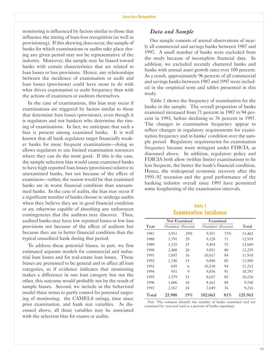monitoring is influenced by factors similar to those that influence the timing of loan-loss recognition (as well as provisioning). If this skewing does occur, the sample of banks for which examinations or audits take place during any given period may not be representative of the industry. Moreover, the sample may be biased toward banks with certain characteristics that are related to loan losses or loss provisions. Hence, any relationships between the incidence of examination or audit and loan losses (provisions) could have more to do with what drives examination or audit frequency than with the actions of examiners or auditors themselves.

In the case of examinations, this bias may occur if examinations are triggered by factors similar to those that determine loan losses (provisions), even though it is regulators and not bankers who determine the timing of examinations. In fact, we anticipate that such a bias is present among examined banks. It is well known that all bank regulators target financially weaker banks for more frequent examinations-doing so allows regulators to use limited examination resources where they can do the most good. If this is the case, the sample selection bias would cause examined banks to have high reported loan losses (provisions) relative to unexamined banks, but not because of the effect of examiners—rather, the reason would be that examined banks are in worse financial condition than unexamined banks. In the case of audits, the bias may occur if a significant number of banks choose to undergo audits when they believe they are in good financial condition or are otherwise capable of absorbing any unforeseen contingencies that the auditors may discover. Thus, audited banks may have low reported losses or low loss provisions not because of the effect of auditors but because they are in better financial condition than the typical unaudited bank during that period.

To address these potential biases, in part, we first estimated separate models for commercial and industrial loan losses and for real-estate loan losses. These biases are presumed to be general and to affect all loan categories, so if evidence indicates that monitoring makes a difference in one loan category but not the other, this outcome would probably not be the result of sample biases. Second, we include in the behavioral model three terms to partly control for potential targeting of monitoring: the CAMELS ratings, time since prior examination, and bank size variables. As discussed above, all three variables may be associated with the selection bias for exams or audits.

#### *Data and Sample*

Our sample consists of annual observations of nearly all commercial and savings banks between 1987 and 1997. A small number of banks were excluded from the study because of incomplete financial data. In addition, we excluded recently chartered banks and banks with annual asset growth rates over 100 percent. As a result, approximately 96 percent of all commercial and savings banks between 1987 and 1997 were included in the empirical tests and tables presented in this study.

Table 1 shows the frequency of examination for the banks in the sample. The overall proportion of banks examined increased from 71 percent in 1987 to 94 percent in 1993, before declining to 76 percent in 1997. The changes in examination frequency appear to reflect changes in regulatory requirements for examination frequency and in banks' condition over the sample period. Regulatory requirements for examination frequency became more stringent under FDICIA, as discussed above. In addition, regulatory policy and FDICIA both allow (within limits) examinations to be less frequent, the better the bank's financial condition. Hence, the widespread economic recovery after the 199192 recession and the good performance of the banking industry overall since 1993 have permitted some lengthening of the examination intervals.

## **Table 1 Examination Incidence**

|       | <b>Not Examined</b> |     | Examined           |     |         |
|-------|---------------------|-----|--------------------|-----|---------|
| Year  | (Number) (Percent)  |     | (Number) (Percent) |     | Total   |
| 1987  | 3,911               | 29% | 9,551              | 71% | 13,462  |
| 1988  | 3,791               | 29  | 9,128              | 71  | 12,919  |
| 1989  | 3,155               | 25  | 9,454              | 75  | 12,609  |
| 1990  | 2,408               | 20  | 9,851              | 80  | 12,259  |
| 1991  | 1,897               | 16  | 10,017             | 84  | 11,914  |
| 1992  | 1,740               | 15  | 9.840              | 85  | 11,580  |
| 1993  | 695                 | 6   | 10,518             | 94  | 11,213  |
| 1994  | 951                 | 9   | 9,836              | 91  | 10,787  |
| 1995  | 1,579               | 15  | 8,657              | 85  | 10,236  |
| 1996  | 1,606               | 16  | 8,162              | 84  | 9,768   |
| 1997  | 2,167               | 24  | 7,049              | 76  | 9,216   |
| Total | 23,900              | 19% | 102.063            | 81% | 125.963 |

*Note:* The columns identify the number of banks examined and not examined by year-end (and as a percent of banks reporting).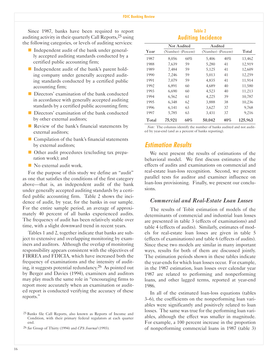Since 1987, banks have been required to report auditing activity in their quarterly Call Reports,25 using the following categories, or levels of auditing services:

- $\blacksquare$  Independent audit of the bank under generally accepted auditing standards conducted by a certified public accounting firm;
- $\blacksquare$  Independent audit of the bank's parent holding company under generally accepted auditing standards conducted by a certified public accounting firm;
- Directors' examination of the bank conducted in accordance with generally accepted auditing standards by a certified public accounting firm;
- $\blacksquare$  Directors' examination of the bank conducted by other external auditors;
- $\blacksquare$  Review of the bank's financial statements by external auditors;
- $\blacksquare$  Compilation of the bank's financial statements by external auditors;
- Other audit procedures (excluding tax preparation work); and
- $\blacksquare$  No external audit work.

For the purpose of this study we define an "audit" as one that satisfies the conditions of the first category above—that is, an independent audit of the bank under generally accepted auditing standards by a certified public accounting firm. Table 2 shows the incidence of audit, by year, for the banks in our sample. For the entire sample period, an average of approximately 40 percent of all banks experienced audits. The frequency of audit has been relatively stable over time, with a slight downward trend in recent years.

Tables 1 and 2, together indicate that banks are subject to extensive and overlapping monitoring by examiners and auditors. Although the overlap of monitoring responsibility appears consistent with the objectives of FIRREA and FDICIA, which have increased both the frequency of examinations and the intensity of auditing, it suggests potential redundancy. 26 As pointed out by Berger and Davies (1994), examiners and auditors may play much the same role in "encouraging firms to report more accurately when an examination or audited report is conducted verifying the accuracy of these reports.

| Table 2                   |
|---------------------------|
| <b>Auditing Incidence</b> |

|       | <b>Not Audited</b> |     | Audited            |     |         |
|-------|--------------------|-----|--------------------|-----|---------|
| Year  | (Number) (Percent) |     | (Number) (Percent) |     | Total   |
| 1987  | 8,056              | 60% | 5,406              | 40% | 13,462  |
| 1988  | 7,639              | 59  | 5,280              | 41  | 12,919  |
| 1989  | 7,484              | 59  | 5,125              | 41  | 12,609  |
| 1990  | 7,246              | 59  | 5,013              | 41  | 12,259  |
| 1991  | 7.079              | 59  | 4.835              | 41  | 11,914  |
| 1992  | 6,891              | 60  | 4,689              | 40  | 11,580  |
| 1993  | 6,690              | 60  | 4,523              | 40  | 11,213  |
| 1994  | 6,562              | 61  | 4,225              | 39  | 10,787  |
| 1995  | 6,348              | 62  | 3,888              | 38  | 10,236  |
| 1996  | 6,141              | 63  | 3,627              | 37  | 9,768   |
| 1997  | 5,785              | 63  | 3,431              | 37  | 9,216   |
| Total | 75,921             | 60% | 50,042             | 40% | 125,963 |

*Note:* The columns identify the number of banks audited and not audited by year-end (and as a percent of banks reporting).

## **Estimation Results**

We next present the results of estimations of the behavioral model. We first discuss estimates of the effects of audits and examinations on commercial and real-estate loan-loss recognition. Second, we present parallel tests for auditor and examiner influence on loan-loss provisioning. Finally, we present our conclusions.

#### *Commercial and Real-Estate Loan Losses*

The results of Tobit estimation of models of the determinants of commercial and industrial loan losses are presented in table 3 (effects of examinations) and table 4 (effects of audits). Similarly, estimates of models for real-estate loan losses are given in table 5 (effects of examinations) and table 6 (effects of audits). Since these two models are similar in many important ways, results for both of them are discussed jointly. The estimation periods shown in these tables indicate the year-ends for which loan losses occur. For example, in the 1987 estimation, loan losses over calendar year 1987 are related to performing and nonperforming loans, and other lagged terms, reported at year-end 1986.

In all of the estimated loan-loss equations (tables 3–6), the coefficients on the nonperforming loan variables were significantly and positively related to loan losses. The same was true for the performing loan variables, although the effect was smaller in magnitude. For example, a 100 percent increase in the proportion of nonperforming commercial loans in 1987 (table 3)

<sup>25</sup> Banks file Call Reports, also known as Reports of Income and Condition, with their primary federal regulators at each quarter end.

<sup>26</sup> *See* Group of Thirty (1994) and *CPA Journal* (1993).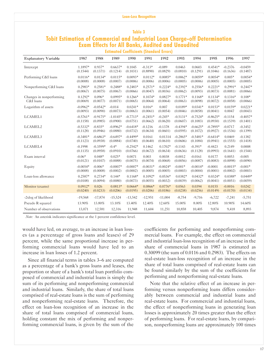## **Table 3 Tobit Estimation of Commercial and Industrial Loan Charge-off Determination Exam Effects for All Banks, Audited and Unaudited Estimated Coefficients (Standard Errors)**

| <b>Explanatory Variable</b> | 1987       | 1988       | 1989       | 1990       | 1991       | 1992       | 1993       | 1994       | 1995       | 1996       | 1997       |
|-----------------------------|------------|------------|------------|------------|------------|------------|------------|------------|------------|------------|------------|
| Intercept                   | 1.1897*    | $0.937*$   | $0.6637*$  | 0.1045     | $-0.313*$  | $-0.089$   | 0.0463     | 0.0603     | $0.4541*$  | $-0.2376$  | $-0.0459$  |
|                             | (0.1544)   | (0.1371)   | (0.1214)   | (0.1031)   | (0.8890)   | (0.0829)   | (0.0810)   | (0.1291)   | (0.1046)   | (0.1636)   | (0.1487)   |
| Performing C&I loans        | $0.0116*$  | $0.0134*$  | $0.0115*$  | $0.0093*$  | $0.0112*$  | $0.0085*$  | $0.0062*$  | $0.0059*$  | $0.0054*$  | $0.005*$   | $0.0054*$  |
|                             | (0.0008)   | (0.0008)   | (0.0007)   | (0.0006)   | (0.0006)   | (0.0006)   | (0.0005)   | (0.0006)   | (0.0005)   | (0.0005)   | (0.0005)   |
| Nonperforming C&I loans     | $0.2983*$  | $0.2581*$  | $0.2488*$  | $0.2483*$  | $0.2571*$  | $0.2224*$  | $0.2392*$  | $0.2556*$  | $0.2221*$  | $0.2991*$  | $0.2447*$  |
|                             | (0.0067)   | (0.0075)   | (0.0067)   | (0.0066)   | (0.0047)   | (0.0036)   | (0.0062)   | (0.0093)   | (0.0073)   | (0.0081)   | (0.0066)   |
| Changes in nonperforming    | $0.1292*$  | $0.096*$   | $0.0995*$  | $0.1266*$  | $0.1074*$  | $0.0827*$  | $0.1771*$  | $0.1168*$  | $0.1134*$  | $0.1316*$  | $0.108*$   |
| C&I loans                   | (0.0069)   | (0.0077)   | (0.0071)   | (0.0065)   | (0.0064)   | (0.0064)   | (0.0063)   | (0.0098)   | (0.0072)   | (0.0058)   | (0.0066)   |
| Logarithm of assets         | $-0.0962*$ | $-0.0542*$ | $-0.014$   | $0.0241*$  | $0.016*$   | 0.007      | $0.0189*$  | $0.0341*$  | $0.0153*$  | $0.0159*$  | $0.0221*$  |
|                             | (0.0093)   | (0.0090)   | (0.0073)   | (0.0063)   | (0.0061)   | (0.0054)   | (0.0046)   | (0.0058)   | (0.0041)   | 0.0047     | (0.0043)   |
| LCAMEL1                     | $-0.5761*$ | $-0.9175*$ | $-1.0145*$ | $-0.7713*$ | $-0.2451*$ | $-0.245*$  | $-0.5131*$ | $-0.7524*$ | $-0.8625*$ | $-0.1154$  | $-0.4057*$ |
|                             | (0.1158)   | (0.0985)   | (0.0900)   | (0.0751)   | (0.0662)   | (0.0620)   | (0.0607)   | (0.1083)   | (0.0930)   | (0.1539)   | (0.1401)   |
| LCAMEL2                     | $-0.5332*$ | $-0.835*$  | $-0.8962*$ | $-0.6418*$ | $-0.1216$  | $-0.1378$  | $-0.4394*$ | $-0.6625*$ | $-0.7895*$ | $-0.0717$  | $-0.3452$  |
|                             | (0.1128)   | (0.0946)   | (0.0880)   | (0.0732)   | (0.0634)   | (0.0601)   | (0.0595)   | (0.1072)   | (0.0927)   | (0.1536)   | (0.1399)   |
| LCAMEL3                     | $-0.3481*$ | $-0.6863*$ | $-0.6497*$ | $-0.4499*$ | 0.0161     | 0.01314    | $-0.2865*$ | $-0.5481*$ | $-0.6414*$ | 0.0469     | $-0.1382$  |
|                             | (0.1123)   | (0.0938)   | (0.0884)   | (0.0740)   | (0.0640)   | (0.0610)   | (0.0606)   | (0.1084)   | (0.0941)   | (0.1555)   | (0.1418)   |
| LCAMEL4                     | $-0.1998$  | $-0.3599*$ | $-0.4*$    | $-0.2542*$ | 0.1462     | $0.1702*$  | $-0.1143$  | $-0.391*$  | $-0.4423$  | 0.2149     | 0.0008     |
|                             | (0.1135)   | (0.0958)   | (0.0910)   | (0.0766)   | (0.0672)   | (0.0634)   | (0.0636)   | (0.1128)   | (0.0993)   | (0.1641)   | (0.1544)   |
| Exam interval               | $-0.06*$   | $0.048*$   | $0.025*$   | 0.0071     | 0.003      | 0.0038     | $-0.0012$  | $-0.0161$  | 0.0177     | 0.0053     | $-0.005$   |
|                             | (0.0121)   | (0.0107)   | (0.0088)   | (0.0075)   | (0.0074)   | (0.0068)   | (0.0056)   | (0.0087)   | (0.0083)   | (0.0098)   | (0.0090)   |
| Equity                      | $-0.0054*$ | $-0.006*$  | $-0.0007*$ | $-0.0007*$ | $-0.0031*$ | $-0.0024*$ | $-0.001*$  | $-0.0014*$ | $-0.0001$  | $-0.0015*$ | $-0.001*$  |
|                             | (0.0008)   | (0.0008)   | (0.0002)   | (0.0002)   | (0.0005)   | (0.0005)   | (0.0003)   | (0.0004)   | (0.0001)   | (0.0002)   | (0.0003)   |
| Loan-loss allowance         | $0.2587*$  | $0.2734*$  | $0.144*$   | $0.1168*$  | $0.1092*$  | $0.0536*$  | $0.0382*$  | $0.0432*$  | $0.0324*$  | $0.0388*$  | $0.0449*$  |
|                             | (0.0108)   | (0.0094)   | (0.0080)   | (0.0073)   | (0.0055)   | (0.0032)   | (0.0039)   | (0.0062)   | (0.0041)   | (0.0051)   | (0.0059)   |
| Monitor (exams)             | $0.0912*$  | 0.026      | $0.0813*$  | $0.0664*$  | $0.0866*$  | $0.0776*$  | 0.0563     | 0.0394     | 0.0155     | $-0.0016$  | 0.0242     |
|                             | (0.0240)   | (0.0233)   | (0.0206)   | (0.0195)   | (0.0206)   | (0.0186)   | (0.0238)   | (0.0256)   | (0.0149)   | (0.0170)   | (0.0134)   |
| -2xlog of likelihood        | $-19,568$  | $-17,874$  | $-15,524$  | $-13,542$  | $-12,951$  | $-11,004$  | $-8,754$   | $-9,716$   | $-6,722$   | $-7,241$   | $-5,751$   |
| Pseudo R squared            | 13.90%     | 13.80%     | 13.10%     | 13.40%     | 12.40%     | 12.60%     | 15.00%     | 8.00%      | 12.80%     | 10.90%     | 14.60%     |
| Number of observations      | 13,071     | 12,581     | 12,316     | 11,948     | 11,604     | 11,251     | 10,858     | 10,405     | 9.874      | 9,418      | 8,893      |

*Note:* An asterisk indicates significance at the 1 percent confidence level.

would have led, on average, to an increase in loan losses (as a percentage of gross loans and leases) of 29 percent, while the same proportional increase in performing commercial loans would have led to an increase in loan losses of 1.2 percent.

Since all financial terms in tables 3–6 are computed as a percentage of a bank's gross loans and leases, the proportion or share of a bank's total loan portfolio composed of commercial and industrial loans is simply the sum of its performing and nonperforming commercial and industrial loans. Similarly, the share of total loans comprised of real-estate loans is the sum of performing and nonperforming real-estate loans. Therefore, the effect on loan-loss recognition of an increase in the share of total loans comprised of commercial loans, holding constant the mix of performing and nonperforming commercial loans, is given by the sum of the

coefficients for performing and nonperforming commercial loans. For example, the effect on commercial and industrial loan-loss recognition of an increase in the share of commercial loans in 1987 is estimated as 0.30099 (the sum of 0.0116 and 0.2983). The effects on real-estate loan-loss recognition of an increase in the share of total loans comprised of real-estate loans can be found similarly by the sum of the coefficients for performing and nonperforming real-estate loans.

Note that the relative effect of an increase in performing versus nonperforming loans differs considerably between commercial and industrial loans and real-estate loans. For commercial and industrial loans, the effect of nonperforming loans in generating loan losses is approximately 20 times greater than the effect of performing loans. For real-estate loans, by comparison, nonperforming loans are approximately 100 times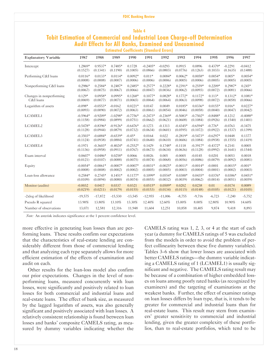## **Table 4 Tobit Estimation of Commercial and Industrial Loan Charge-off Determination Audit Effects for All Banks, Examined and Unexamined Estimated Coefficients (Standard Errors)**

| <b>Explanatory Variable</b> | 1987       | 1988       | 1989       | 1990       | 1991       | 1992       | 1993       | 1994       | 1995       | 1996       | 1997       |
|-----------------------------|------------|------------|------------|------------|------------|------------|------------|------------|------------|------------|------------|
| Intercept                   | 1.2869*    | 0.9537*    | $0.7485*$  | 0.1728     | $-0.2405*$ | $-0.0293$  | 0.0915     | 0.0896     | $0.4379*$  | $-0.2291$  | $-0.0412$  |
|                             | (0.1527)   | (0.1341)   | (0.1190)   | (0.1005)   | (0.0866)   | (0.0803)   | (0.0776)   | (0.1263)   | (0.1033)   | (0.1635)   | (0.1488)   |
| Performing C&I loans        | $0.0116*$  | $0.0133*$  | $0.0114*$  | $0.0092*$  | $0.011*$   | $0.0084*$  | $0.0062*$  | $0.0058*$  | $0.0054*$  | $0.005*$   | $0.0054*$  |
|                             | (0.0008)   | (0.0008)   | (0.0007)   | (0.0006)   | (0.0006)   | (0.0006)   | (0.0005)   | (0.0006)   | (0.0005)   | (0.0005)   | (0.0005)   |
| Nonperforming C&I loans     | $0.2986*$  | $0.2584*$  | $0.2487*$  | $0.2485*$  | $0.2577*$  | $0.2228*$  | $0.2391*$  | $0.2559*$  | $0.2209*$  | $0.2987*$  | $0.245*$   |
|                             | (0.0067)   | (0.0075)   | (0.0067)   | (0.0066)   | (0.0047)   | (0.0036)   | (0.0062)   | (0.0093)   | (0.0072)   | (0.0081)   | (0.0066)   |
| Changes in nonperforming    | $0.129*$   | $0.0958*$  | $0.0995*$  | $0.1268*$  | $0.1077*$  | $0.0828*$  | $0.1772*$  | $0.1172*$  | $0.113*$   | $0.1312*$  | $0.1081*$  |
| C&I loans                   | (0.0069)   | (0.0077)   | (0.0071)   | (0.0065)   | (0.0064)   | (0.0064)   | (0.0063)   | (0.0098)   | (0.0072)   | (0.0058)   | (0.0066)   |
| Logarithm of assets         | $-0.098*$  | $-0.0553*$ | $-0.0162$  | $0.0221*$  | 0.0147     | 0.0049     | $0.0185*$  | $0.0336*$  | $0.0155*$  | $0.016*$   | $0.0227*$  |
|                             | (0.0093)   | (0.0090)   | (0.0072)   | (0.0063)   | (0.0061)   | (0.0054)   | (0.0046)   | (0.0058)   | (0.0040)   | (0.0047)   | (0.0042)   |
| LCAMEL1                     | $-0.5964*$ | $-0.9209*$ | $-1.0298*$ | $-0.7756*$ | $-0.2473*$ | $-0.2369*$ | $-0.5083*$ | $-0.7502*$ | $-0.8488*$ | $-0.1212$  | $-0.4088*$ |
|                             | (0.1158)   | (0.0984)   | (0.0899)   | (0.0751)   | (0.0662)   | (0.0621)   | (0.0608)   | (0.1084)   | (0.0926)   | (0.1540)   | (0.1401)   |
| LCAMEL2                     | $-0.5478*$ | $-0.8396*$ | $-0.9126*$ | $-0.6476*$ | $-0.1273$  | $-0.1313$  | $-0.4345*$ | $-0.6594*$ | $-0.776*$  | $-0.0763$  | $-0.3475$  |
|                             | (0.1128)   | (0.0944)   | (0.0879)   | (0.0732)   | (0.0634)   | (0.0601)   | (0.0595)   | (0.1072)   | (0.0922)   | (0.1537)   | (0.1399)   |
| LCAMEL3                     | $-0.3503*$ | $-0.6884*$ | $-0.6539*$ | $-0.45*$   | 0.0164     | 0.022      | $-0.2819*$ | $-0.5473*$ | $-0.6297*$ | 0.0448     | 0.1377     |
|                             | (0.1124)   | (0.0938)   | (0.0884)   | (0.0741)   | (0.0640)   | (0.0610)   | (0.0606)   | (0.1084)   | (0.0938)   | (0.1555)   | (0.1419)   |
| LCAMEL4                     | $-0.1971$  | $-0.3603*$ | $-0.4024*$ | $-0.2552*$ | 0.1429     | $0.1748*$  | $-0.1118$  | $-0.3917*$ | $-0.4372*$ | 0.2141     | 0.0005     |
|                             | (0.1136)   | (0.0958)   | (0.0911)   | (0.0767)   | (0.0673)   | (0.0634)   | (0.0636)   | (0.1128)   | (0.0992)   | (0.1641)   | (0.1544)   |
| Exam interval               | $0.0607*$  | $0.0486*$  | $0.0258*$  | 0.0066     | 0.0026     | 0.005      | $-0.0005$  | $-0.0145$  | 0.0201     | 0.0053     | 0.0018     |
|                             | (0.0121)   | (0.0107)   | (0.0088)   | (0.0075)   | (0.0074)   | (0.0068)   | (0.0056)   | (0.0086)   | (0.0079)   | (0.0092)   | (0.0081)   |
| Equity                      | $-0.0054*$ | $-0.0061*$ | $-0.0007*$ | $-0.0007*$ | $-0.0031*$ | $-0.0025*$ | $-0.0011*$ | $-0.0014*$ | $-0.0001$  | $-0.0015*$ | $-0.001*$  |
|                             | (0.0008)   | (0.0008)   | (0.0002)   | (0.0002)   | (0.0005)   | (0.0005)   | (0.0003)   | (0.0004)   | (0.0001)   | (0.0002)   | (0.0003)   |
| Loan-loss allowance         | $0.2584*$  | $0.2745*$  | $0.1451*$  | $0.1177*$  | $0.1099*$  | $0.0554*$  | $0.0388*$  | $0.0435*$  | $0.0376*$  | $0.0386*$  | $0.0451*$  |
|                             | (0.0109)   | (0.0094)   | (0.0080)   | (0.0074)   | (0.0055)   | (0.0032)   | (0.0039)   | (0.0062)   | (0.0014)   | (0.0051)   | (0.0059)   |
| Monitor (audits)            | $-0.0032$  | 0.0417     | 0.0337     | 0.0321     | $0.0515*$  | $0.0509*$  | 0.0202     | 0.0238     | 0.01       | $-0.0174$  | 0.0089     |
|                             | (0.0219)   | (0.0211)   | (0.0179)   | (0.0155)   | (0.0153)   | (0.0134)   | (0.0115)   | (0.0148)   | (0.0105)   | (0.0121)   | (0.0105)   |
| -2xlog of likelihood        | $-19,575$  | $-17,872$  | $-15,530$  | $-13,545$  | $-12,955$  | $-11,006$  | $-8,755$   | $-9,716$   | $-6,723$   | $-7,240$   | $-5,752$   |
| Pseudo R squared            | 13.90%     | 13.80%     | 13.10%     | 13.30%     | 12.40%     | 12.60%     | 15.00%     | 8.00%      | 12.80%     | 10.90%     | 14.60%     |
| Number of observations      | 13,071     | 12,581     | 12,316     | 11,948     | 11,604     | 12,251     | 10,858     | 10,405     | 9,874      | 9,418      | 8,893      |

*Note:* An asterisk indicates significance at the 1 percent confidence level.

more effective in generating loan losses than are performing loans. These results confirm our expectations that the characteristics of real-estate lending are considerably different from those of commercial lending and that analyzing each type separately allows for more efficient estimation of the effects of examination and audit on each.

Other results for the loan-loss model also confirm our prior expectations. Changes in the level of nonperforming loans, measured concurrently with loan losses, were significantly and positively related to loan losses for both commercial and industrial loans and real-estate loans. The effect of bank size, as measured by the lagged logarithm of assets, was also generally significant and positively associated with loan losses. A relatively consistent relationship is found between loan losses and banks' composite CAMELS rating, as measured by dummy variables indicating whether the

CAMELS rating was 1, 2, 3, or 4 at the start of each year (a dummy for CAMELS ratings of 5 was excluded from the models in order to avoid the problem of perfect collinearity between these five dummy variables). Tables 3–6 show that lower losses are associated with better CAMELS ratings—the dummy variable indicating a CAMELS rating of 1 (LCAMEL1) is usually significant and negative. The CAMELS rating result may be because of a combination of higher embedded losses on loans among poorly rated banks (as recognized by examiners) and the targeting of examinations at the weakest banks. Further, the effect of examiner ratings on loan losses differs by loan type, that is, it tends to be greater for commercial and industrial loans than for real-estate loans. This result may stem from examiners' greater sensitivity to commercial and industrial lending, given the greater complexity of these portfolios, than to real-estate portfolios, which tend to be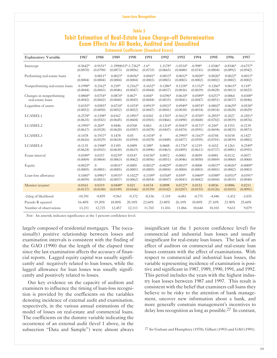## **Table 5 Tobit Estimation of Real-Estate Loan Charge-off Determination Exam Effects for All Banks, Audited and Unaudited Estimated Coefficients (Standard Errors)**

| <b>Explanatory Variable</b>     | 1987                   | 1988                   | 1989       | 1990                              | 1991                | 1992                | 1993                   | 1994                  | 1995                   | 1996                   | 1997                   |
|---------------------------------|------------------------|------------------------|------------|-----------------------------------|---------------------|---------------------|------------------------|-----------------------|------------------------|------------------------|------------------------|
| Intercept                       | $-0.5642*$<br>(0.0870) | $-0.9151*$<br>(0.0790) | (0.0873)   | $-1.3990033*-1.7362*$<br>(0.0856) | $-1.6*$<br>(0.0735) | 1.3178*<br>(0.0665) | $-1.0534*$<br>(0.0680) | $-0.998*$<br>(0.0741) | $-1.0346*$<br>(0.0804) | $-0.8346*$<br>(0.0892) | $-0.6757*$<br>(0.0942) |
| Performing real-estate loans    | $\theta$               | $0.0011*$              | $0.0023*$  | $0.0036*$                         | $0.0041*$           | $0.0033*$           | $0.0032*$              | $0.0028*$             | $0.0026*$              | $0.0022*$              | $0.0013*$              |
|                                 | (0.0004)               | (0.0004)               | (0.0004)   | (0.0004)                          | (0.0003)            | (0.0003)            | (0.0003)               | (0.0002)              | (0.0002)               | (0.0002)               | (0.0002)               |
| Nonperforming real-estate loans | $0.1998*$              | $0.2162*$              | $0.218*$   | $0.2162*$                         | $0.1652*$           | $0.1286*$           | $0.1218*$              | $0.1332*$             | $0.1266*$              | $0.0615*$              | $0.118*$               |
|                                 | (0.0044)               | (0.0043)               | (0.0046)   | (0.0047)                          | (0.0044)            | (0.0037)            | (0.0036)               | (0.0039)              | (0.0028)               | (0.0013)               | (0.0025)               |
| Changes in nonperforming        | $0.0868*$              | $0.0754*$              | $0.0874*$  | $0.067*$                          | $0.044*$            | $0.0296*$           | $0.0634*$              | $0.0589*$             | $0.0257*$              | $-0.0064$              | $0.0308*$              |
| real-estate loans               | (0.0042)               | (0.0042)               | (0.0044)   | (0.0045)                          | (0.0044)            | (0.0035)            | (0.0041)               | (0.0047)              | (0.0051)               | (0.0037)               | (0.0046)               |
| Logarithm of assets             | $0.0355*$              | $0.0585*$              | $0.0734*$  | $0.1074*$                         | $0.0915*$           | $0.0923*$           | $0.0949*$              | $0.0874*$             | $0.0802*$              | $0.0629*$              | $0.0538*$              |
|                                 | (0.0052)               | (0.0050)               | (0.0052)   | (0.0052)                          | (0.0047)            | (0.0041)            | (0.0038)               | (0.0034)              | (0.0034)               | (0.0028)               | (0.0029)               |
| LCAMEL1                         | $-0.2578*$             | $-0.3398*$             | $-0.0167$  | $-0.1891*$                        | $-0.0302$           | $-0.1703*$          | $-0.5612*$             | $-0.4705*$            | $-0.2855*$             | $-0.2027$              | $-0.2451*$             |
|                                 | (0.0635)               | (0.0543)               | (0.0645)   | (0.0604)                          | (0.0501)            | (0.0466)            | (0.0490)               | (0.0600)              | (0.0702)               | (0.0839)               | (0.0876)               |
| LCAMEL2                         | $-0.1995*$             | $-0.269*$              | 0.0446     | $-0.0768$                         | 0.063               | $-0.1214*$          | $-0.5043*$             | $-0.4171*$            | $-0.244*$              | $-0.1553$              | $-0.2139$              |
|                                 | (0.0617)               | (0.0528)               | (0.0620)   | (0.0587)                          | (0.0478)            | (0.0447)            | (0.0474)               | (0.0591)              | (0.0694)               | (0.0835)               | (0.0873)               |
| LCAMEL3                         | $-0.1478$              | $-0.1937*$             | 0.1478     | 0.05                              | $0.1434*$           | $\theta$            | $-0.3995*$             | $-0.3167*$            | $-0.0744$              | 0.0158                 | $-0.1427$              |
|                                 | (0.0616)               | (0.0529)               | (0.0618)   | (0.0594)                          | (0.0478)            | (0.0448)            | (0.0477)               | (0.0595)              | (0.0701)               | (0.0839)               | (0.0882)               |
| LCAMEL4                         | $-0.1135$              | $-0.1948*$             | 0.1185     | 0.0409                            | $0.188*$            | 0.0608              | $-0.1776*$             | $-0.1219$             | 0.1652                 | 0.1263                 | $0.2549*$              |
|                                 | (0.0624)               | (0.0543)               | (0.0630)   | (0.0615)                          | (0.0496)            | (0.0463)            | (0.0495)               | (0.0611)              | (0.0737)               | (0.0881)               | (0.0955)               |
| Exam interval                   | $0.0389*$              | 0.0357                 | $0.0239*$  | 0.0147                            | $0.0156*$           | 0.0072              | $-0.0003$              | $-0.0059$             | $-0.0081$              | $-0.0132$              | $-0.0077$              |
|                                 | (0.0069)               | (0.0064)               | (0.0063)   | (0.0062)                          | (0.0056)            | (0.0051)            | (0.0046)               | (0.0050)              | (0.0069)               | (0.0060)               | (0.0060)               |
| Equity                          | $-0.0025*$             | $\theta$               | $-0.0031*$ | $-0.0005$                         | $-0.0032*$          | $-0.0029*$          | $-0.0015*$             | $-0.0008$             | $-0.0037*$             | $-0.0026*$             | $-0.0009*$             |
|                                 | (0.0005)               | (0.0001)               | (0.0005)   | (0.0001)                          | (0.0005)            | (0.0004)            | (0.0004)               | (0.0003)              | (0.0003)               | (0.0002)               | (0.0003)               |
| Loan-loss allowance             | $0.1085*$              | $0.0981*$              | $0.0935*$  | $0.1022*$                         | $0.1109*$           | $0.0768*$           | $0.059*$               | $0.0469*$             | $0.0588*$              | $0.0553*$              | $0.0391*$              |
|                                 | (0.0059)               | (0.0053)               | (0.0057)   | (0.0062)                          | (0.0054)            | (0.0047)            | (0.0043)               | (0.0042)              | (0.0044)               | (0.0035)               | (0.0040)               |
| Monitor (exams)                 | $-0.0163$              | 0.0319                 | $0.0448*$  | 0.021                             | 0.0154              | 0.0098              | $0.0727*$              | 0.0153                | 0.0036                 | 0.0086                 | 0.0211                 |
|                                 | (0.0137)               | (0.0140)               | (0.0149)   | (0.0166)                          | (0.0159)            | (0.0142)            | (0.0207)               | (0.0155)              | (0.0126)               | (0.0103)               | (0.0091)               |
| -2xlog of likelihood            | $-10,701$              | $-9,859$               | $-9,563$   | $-9,372$                          | $-8,536$            | $-7,318$            | $-6,061$               | $-4,775$              | $-4,446$               | $-3,432$               | $-3,035$               |
| Pseudo R squared                | 16.40%                 | 19.20%                 | 18.00%     | 20.10%                            | 22.60%              | 23.80%              | 26.10%                 | 30.00%                | 27.10%                 | 23.90%                 | 25.60%                 |
| Number of observations          | 13,211                 | 12,725                 | 12,457     | 12,113                            | 11,765              | 11,416              | 11,066                 | 10,644                | 10,103                 | 9,631                  | 9,079                  |

*Note:* An asterisk indicates significance at the 1 percent confidence level.

largely composed of residential mortgages. The (occasionally) positive relationship between losses and examination intervals is consistent with the finding of the GAO (1990) that the length of the elapsed time since the last examination affects the accuracy of financial reports. Lagged equity capital was usually significantly and negatively related to loan losses, while the lagged allowance for loan losses was usually significantly and positively related to losses.

Our key evidence on the capacity of auditors and examiners to influence the timing of loan-loss recognition is provided by the coefficients on the variables denoting incidence of external audit and examination, respectively, in the various annual estimations of the model of losses on real-estate and commercial loans. The coefficients on the dummy variable indicating the occurrence of an external audit (level 1 above, in the subsection "Data and Sample") were almost always

insignificant (at the 1 percent confidence level) for commercial and industrial loan losses and usually insignificant for real-estate loan losses. The lack of an effect of auditors on commercial and real-estate loan losses contrasts with the effect of examinations. With respect to commercial and industrial loan losses, the variable representing incidence of examination is positive and significant in 1987, 1989, 1990, 1991, and 1992. This period includes the years with the highest industry loan losses between 1987 and 1997. This result is consistent with the belief that examiners call loans they believe to be risky to the attention of bank management, uncover new information about a bank, and more generally constrain management's incentives to delay loss recognition as long as possible.27 In contrast,

27 *See* Graham and Humphrey (1978), Gilbert (1993) and GAO (1991).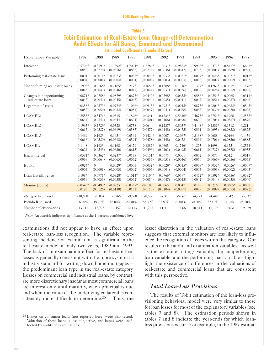## **Table 6 Tobit Estimation of Real-Estate Loan Charge-off Determination Audit Effects for All Banks, Examined and Unexamined Estimated Coefficients (Standard Errors)**

| <b>Explanatory Variable</b>     | 1987       | 1988           | 1989       | 1990       | 1991       | 1992       | 1993       | 1994       | 1995       | 1996       | 1997       |
|---------------------------------|------------|----------------|------------|------------|------------|------------|------------|------------|------------|------------|------------|
| Intercept                       | $-0.5706*$ | $-0.8593*$     | $-1.3392*$ | $-1.7004*$ | $-1.5786*$ | $-1.3031*$ | $-0.9823*$ | $-0.9908*$ | $-1.0472*$ | $-0.8417*$ | $-0.6647*$ |
|                                 | (0.0858)   | (0.0770)       | (0.0856)   | (0.0832)   | (0.0714)   | (0.0646)   | (0.0647)   | (0.0723)   | (0.0803)   | (0.0889)   | (0.0941)   |
| Performing real-estate loans    | 0.0001     | $0.0011*$      | $0.0023*$  | $0.0037*$  | $0.0042*$  | $0.0033*$  | $0.0031*$  | $0.0027*$  | $0.0026*$  | $0.0021*$  | $0.0013*$  |
|                                 | (0.0004)   | (0.0004)       | (0.0004)   | (0.0004)   | (0.0003)   | (0.0003)   | (0.0003)   | (0.0002)   | (0.0002)   | (0.0002)   | (0.0002)   |
| Nonperforming real-estate loans | 0.1998*    | $0.2168*$      | $0.2185*$  | $0.217*$   | $0.1654*$  | $0.1288*$  | $0.1216*$  | $0.1327*$  | $0.1262*$  | $0.061*$   | $0.1178*$  |
|                                 | (0.0043)   | (0.0043)       | (0.0046)   | (0.0047)   | (0.0044)   | (0.0037)   | (0.0036)   | (0.0039)   | (0.0028)   | (0.0012)   | (0.0025)   |
| Changes in nonperforming        | $0.0871*$  | $0.0758*$      | $0.0879*$  | $0.0672*$  | $0.0442*$  | $0.0298*$  | $0.0635*$  | $0.0586*$  | $0.0254*$  | $-0.0065$  | $0.0311*$  |
| real-estate loans               | (0.0042)   | (0.0042)       | (0.0045)   | (0.0045)   | (0.0044)   | (0.0035)   | (0.0041)   | (0.0047)   | (0.0051)   | (0.0037)   | (0.0046)   |
| Logarithm of assets             | $0.0358*$  | $0.0573*$      | $0.0724*$  | $0.1066*$  | $0.0913*$  | $0.0921*$  | $0.0945*$  | $0.0873*$  | $0.0804*$  | $0.0632*$  | $0.0545*$  |
|                                 | (0.0052)   | (0.0050)       | (0.0052)   | (0.0051)   | (0.0047)   | (0.0041)   | (0.0038)   | (0.0032)   | (0.0030)   | (0.0028)   | (0.0028)   |
| LCAMEL1                         | $-0.2553*$ | $-0.3471*$     | $-0.0315$  | $-0.1898*$ | $-0.0341$  | $-0.1734*$ | $-0.5616*$ | $-0.4675*$ | $-0.2754*$ | $-0.1968$  | $-0.2532*$ |
|                                 | (0.0634)   | (0.0542)       | 0.0644     | (0.0604)   | (0.0501)   | (0.0466)   | (0.0490)   | (0.0600)   | (0.0703)   | (0.0837)   | (0.0876)   |
| LCAMEL2                         | $-0.1965*$ | $-0.2729*$     | 0.0325     | $-0.0758$  | 0.06       | $-0.1237*$ | $-0.5037*$ | $-0.4148*$ | $-0.2352*$ | $-0.1512$  | $-0.221$   |
|                                 | (0.0617)   | (0.0527)       | (0.0619)   | (0.0587)   | (0.0477)   | (0.0448)   | (0.0475)   | 0.0591     | (0.0695)   | (0.0832)   | (0.0873)   |
| LCAMEL3                         | $-0.1469$  | $-0.192*$      | 0.1431     | 0.0541     | $0.1424*$  | $-0.0007$  | $-0.3967*$ | $-0.3168*$ | $-0.0688$  | 0.0164     | $-0.1459$  |
|                                 | (0.0616)   | (0.0529)       | (0.0618)   | (0.0594)   | (0.0478)   | (0.0448)   | 0.0478     | (0.0594)   | (0.0701)   | (0.0836)   | (0.0883)   |
| LCAMEL4                         | $-0.1148$  | $-0.193*$      | 0.1168     | 0.0479     | $0.1882*$  | 0.0605     | $-0.1746*$ | $-0.1225$  | 0.1698     | 0.125      | $0.2524*$  |
|                                 | (0.0624)   | (0.0543)       | (0.0630)   | (0.0615)   | (0.0496)   | (0.0463)   | (0.0495)   | (0.0611)   | (0.0737)   | (0.0878)   | (0.0955)   |
| Exam interval                   | $0.0381*$  | $0.0362*$      | $0.0237*$  | 0.0138     | $0.0151*$  | 0.0071     | $-0.0001$  | $-0.0052$  | $-0.0075$  | $-0.012$   | $-0.0019$  |
|                                 | (0.0069)   | (0.0064)       | (0.0063)   | (0.0062)   | (0.0056)   | (0.0051)   | (0.0046)   | (0.0050)   | (0.0066)   | (0.0056)   | (0.0055)   |
| Equity                          | $-0.0024*$ | $\overline{0}$ | $-0.0029*$ | $-0.0005$  | $-0.0032*$ | $-0.0029*$ | $-0.0015*$ | $-0.0008*$ | $-0.0037*$ | $-0.0026*$ | $-0.0009*$ |
|                                 | (0.0005)   | (0.0001)       | (0.0005)   | (0.0002)   | (0.0005)   | (0.0004)   | (0.0004)   | (0.0003)   | (0.0003)   | (0.0002)   | (0.0003)   |
| Loan-loss allowance             | $0.108*$   | $0.0971*$      | $0.0928*$  | $0.1014*$  | $0.1104*$  | $0.0766*$  | $0.059*$   | $0.0472*$  | $0.0592*$  | $0.0556*$  | $0.0392*$  |
|                                 | (0.0059)   | (0.0053)       | (0.0058)   | (0.0062)   | (0.0054)   | (0.0047)   | (0.0043)   | (0.0042)   | (0.0044)   | (0.0035)   | (0.0040)   |
| Monitor (audits)                | $-0.0346*$ | $-0.0497*$     | $-0.0223$  | $-0.0367*$ | $-0.0108$  | $-0.0065$  | 0.0047     | 0.0195     | 0.0216     | $0.0305*$  | $-0.0008$  |
|                                 | (0.0126)   | (0.0126)       | (0.0130)   | (0.0131)   | (0.0118)   | (0.0104)   | (0.0097)   | (0.0089)   | (0.0089)   | (0.0073)   | (0.0072)   |
| -2xlog of likelihood            | $-10,698$  | $-9,854$       | $-9,566$   | $-9,368$   | $-8,536$   | $-7,318$   | $-6,067$   | $-4,773$   | $-4,443$   | $-3,423$   | $-3,037$   |
| Pseudo R squared                | 16.40%     | 19.20%         | 18.00%     | 20.10%     | 22.60%     | 23.80%     | 26.00%     | 30.00%     | 27.10%     | 24.10%     | 25.50%     |
| Number of observations          | 13,211     | 12,725         | 12,457     | 12,113     | 11,765     | 11,416     | 11,066     | 10,644     | 10,103     | 9,631      | 9,079      |

*Note:* An asterisk indicates significance at the 1 percent confidence level.

examinations did not appear to have an effect upon real-estate loan-loss recognition. The variable representing incidence of examination is significant in the real-estate model in only two years, 1989 and 1993. The lack of an examination effect for real-estate loan losses is generally consistent with the more systematic industry standard for writing down home mortgages the predominant loan type in the real-estate category. Losses on commercial and industrial loans, by contrast, are more discretionary insofar as most commercial loans are interest-only until maturity, when principal is due and when the value of the underlying collateral is considerably more difficult to determine.<sup>28</sup> Thus, the

lesser discretion in the valuation of real-estate loans suggests that external monitors are less likely to influence the recognition of losses within this category. Our results on the audit and examination variables—as well as the examiner ratings variable, the nonperforming loan variable, and the performing loan variable—highlight the existence of differences in the valuations of real-estate and commercial loans that are consistent with this perspective.

#### *Total Loan-Loss Provisions*

The results of Tobit estimation of the loan-loss provisioning behavioral model were very similar to those for loan losses for most of the explanatory variables (see tables 7 and 8). The estimation periods shown in tables 7 and 8 indicate the year-ends for which loanloss provisions occur. For example, in the 1987 estima-

<sup>28</sup> Losses on consumer loans (not reported here) were also tested. Valuation of these loans is less subjective, and losses were unaffected by audits or examinations.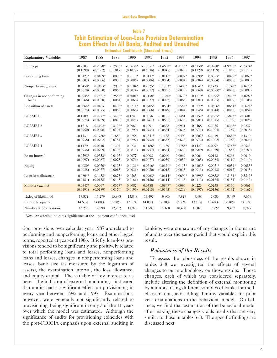## **Table 7 Tobit Estimation of Loan-Loss Provision Determination Exam Effects for All Banks, Audited and Unaudited Estimated Coefficients (Standard Errors)**

| <b>Explanatory Variables</b> | 1987       | 1988       | 1989       | 1990       | 1991       | 1992       | 1993       | 1994       | 1995        | 1996       | 1997       |
|------------------------------|------------|------------|------------|------------|------------|------------|------------|------------|-------------|------------|------------|
| Intercept                    | $-0.2203$  | $-0.2978*$ | $-0.7555*$ | $-1.3636*$ | $-1.7851*$ | $-1.4697*$ | $-1.1116*$ | $-0.8138*$ | $-0.9280*$  | $-1.9955*$ | $-1.3374*$ |
|                              | (0.1299)   | (0.1062)   | (0.1017)   | (0.1077)   | (0.1036)   | (0.0845)   | (0.0828)   | (0.1129)   | (0.1129)    | (0.1868)   | (0.2115)   |
| Performing loans             | $0.0127*$  | $0.0109*$  | $0.0090*$  | $0.0119*$  | $0.0137*$  | $0.0117*$  | $0.0097*$  | $0.0090*$  | $0.0083*$   | $0.0079*$  | $0.0069*$  |
|                              | (0.0007)   | (0.0006)   | (0.0005)   | (0.0006)   | (0.0006)   | (0.0004)   | (0.0004)   | (0.0004)   | (0.0004)    | (0.0005)   | (0.0005)   |
| Nonperforming loans          | $0.3458*$  | $0.3193*$  | 0.2988*    | $0.3184*$  | $0.2525*$  | $0.1753*$  | $0.1480*$  | $0.1641*$  | 0.1433      | $0.1742*$  | $0.1670*$  |
|                              | (0.0070)   | (0.0050)   | (0.0066)   | (0.0074)   | (0.0077)   | (0.0061)   | (0.0055)   | (0.0068)   | $(0.0073)*$ | (0.0092)   | (0.0095)   |
| Changes in nonperforming     | $0.2945*$  | $0.2831*$  | $0.2555*$  | $0.3001*$  | $0.2138*$  | $0.1350*$  | $0.1610*$  | $0.1319*$  | $0.1495*$   | $0.2462*$  | $0.1697*$  |
| loans                        | (0.0066)   | (0.0050)   | (0.0064)   | (0.0066)   | (0.0077)   | (0.0062)   | (0.0065)   | (0.0081)   | (0.0083)    | (0.0099)   | (0.0106)   |
| Logarithm of assets          | $-0.0264*$ | $-0.0183$  | $0.0402*$  | $0.0711*$  | $0.0705*$  | $0.0664*$  | $0.0558*$  | $0.0379*$  | $0.0506*$   | $0.0651*$  | $0.0624*$  |
|                              | (0.0075)   | (0.0073)   | (0.0062)   | (0.0066)   | (0.0066)   | (0.0049)   | (0.0044)   | (0.0045)   | (0.0044)    | (0.0055)   | (0.0054)   |
| LCAMEL1                      | $-0.1709$  | $-0.2277*$ | $-0.3438*$ | $-0.1743$  | 0.0056     | $-0.0125$  | $-0.1481$  | $-0.2752*$ | $-0.2665*$  | $0.5823*$  | $-0.0601$  |
|                              | (0.0975)   | (0.0729)   | (0.0820)   | (0.0825)   | (0.0761)   | (0.0651)   | (0.0639)   | (0.0981)   | (0.1015)    | (0.1769)   | (0.2026)   |
| LCAMEL2                      | $-0.1716$  | $-0.2102*$ | $-0.3106*$ | $-0.0960$  | 0.1091     | 0.0628     | $-0.0921$  | $-0.2468$  | $-0.2255$   | $0.6268*$  | 0.0227     |
|                              | (0.0950)   | (0.0698)   | (0.0794)   | (0.0799)   | (0.0734)   | (0.0634)   | (0.0625)   | (0.0971)   | (0.1004)    | (0.1759)   | (0.2018)   |
| LCAMEL3                      | $-0.1431$  | $-0.1786*$ | $-0.1680$  | 0.0758     | $0.2341*$  | 0.1188     | $-0.0490$  | $-0.2607*$ | $-0.1419$   | $0.6686*$  | 0.1310     |
|                              | (0.0938)   | (0.0702)   | (0.0784)   | (0.0797)   | (0.0732)   | (0.0632)   | (0.0626)   | (0.0972)   | (0.1002)    | (0.1758)   | (0.2024)   |
| LCAMEL4                      | $-0.1179$  | $-0.0310$  | $-0.1294$  | 0.0731     | $0.2186*$  | 0.1289     | $0.1785*$  | $-0.1427$  | $-0.0997$   | $0.5752*$  | $-0.0523$  |
|                              | (0.0936)   | (0.0709)   | (0.0792)   | (0.0813)   | (0.0757)   | (0.0644)   | (0.0646)   | (0.0989)   | (0.1039)    | (0.1853)   | (0.2180)   |
| Exam interval                | $0.0292*$  | $0.0353*$  | $0.0197*$  | 0.0077     | $-0.0002$  | 0.0040     | $-0.0069$  | $-0.0061$  | 0.0113      | 0.0266     | $-0.0019$  |
|                              | (0.0097)   | (0.0087)   | (0.0073)   | (0.0076)   | (0.0077)   | (0.0059)   | (0.0052)   | (0.0065)   | (0.0084)    | (0.0110)   | (0.0110)   |
| Equity                       | $0.0080*$  | $0.0070*$  | $0.0123*$  | $0.0131*$  | $0.0216*$  | $0.0121*$  | $0.0113*$  | $0.0103*$  | $0.0071*$   | $0.0054*$  | $0.0053*$  |
|                              | (0.0028)   | (0.0027)   | (0.0013)   | (0.0021)   | (0.0020)   | (0.0015)   | (0.0013)   | (0.0013)   | (0.0013)    | (0.0017)   | (0.0015)   |
| Loan-loss allowance          | $0.0804*$  | $0.1458*$  | $0.0675*$  | $-0.0265$  | $0.0968*$  | $0.0614*$  | $0.0690*$  | $0.0698*$  | $0.0833*$   | $0.2131*$  | $0.3212*$  |
|                              | (0.0181)   | (0.0158)   | (0.0145)   | (0.0161)   | (0.0156)   | (0.0114)   | (0.0113)   | (0.0113)   | (0.0124)    | (0.0154)   | (0.0142)   |
| Monitor (exams)              | $0.0547*$  | 0.0067     | $0.0577*$  | 0.0087     | 0.0388     | $0.0847*$  | 0.0094     | 0.0223     | 0.0238      | $-0.0150$  | 0.0061     |
|                              | (0.0191)   | (0.0189)   | (0.0170)   | (0.0196)   | (0.0215)   | (0.0165)   | (0.0219)   | (0.0197)   | (0.0156)    | (0.0192)   | (0.0167)   |
| -2xlog of likelihood         | $-17,872$  | $-16,279$  | $-13,998$  | $-13,848$  | $-13,497$  | $-9,903$   | $-7,929$   | $-7,490$   | $-7,083$    | $-8,499$   | $-7,669$   |
| Pseudo R squared             | 14.60%     | 14.00%     | 15.30%     | 17.50%     | 14.00%     | 17.30%     | 17.60%     | 13.10%     | 12.60%      | 12.10%     | 13.80%     |
| Number of observations       | 13,256     | 12,598     | 12,292     | 11,926     | 11,583     | 11,160     | 10.480     | 10.020     | 9,722       | 9,427      | 8,927      |

*Note:* An asterisk indicates significance at the 1 percent confidence level.

tion, provisions over calendar year 1987 are related to performing and nonperforming loans, and other lagged terms, reported at year-end 1986. Briefly, loan-loss provisions tended to be significantly and positively related to total performing loans and leases, nonperforming loans and leases, changes in nonperforming loans and leases, bank size (as measured by the logarithm of assets), the examination interval, the loss allowance, and equity capital. The variable of key interest to us here—the indicator of external monitoring—indicated that audits had a significant effect on provisioning in every year between 1992 and 1997. Examinations, however, were generally not significantly related to provisioning, being significant in only 3 of the 11 years over which the model was estimated. Although the significance of audits for provisioning coincides with the post-FDICIA emphasis upon external auditing in

banking, we are unaware of any changes in the nature of audits over the same period that would explain this result.

#### *Robustness of the Results*

To assess the robustness of the results shown in tables  $3-8$  we investigated the effects of several changes to our methodology on those results. Those changes, each of which was considered separately, include altering the definition of external monitoring by auditors, using different samples of banks for model estimation, and adding dummy variables for prior year examinations to the behavioral model. On balance, we find that estimation of the behavioral model after making these changes yields results that are very similar to those in tables 3–8. The specific findings are discussed next.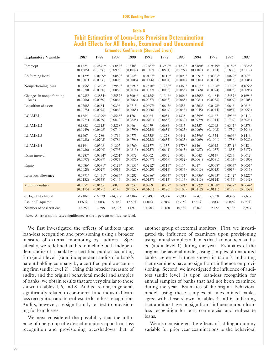## **Table 8 Tobit Estimation of Loan-Loss Provision Determination Audit Effects for All Banks, Examined and Unexamined Estimated Coefficients (Standard Errors)**

| <b>Explanatory Variable</b> | 1987       | 1988       | 1989       | 1990      | 1991       | 1992       | 1993       | 1994       | 1995       | 1996       | 1997       |
|-----------------------------|------------|------------|------------|-----------|------------|------------|------------|------------|------------|------------|------------|
| Intercept                   | $-0.1524$  | $-0.2871*$ | $-0.6858*$ | $-1.348*$ | $-1.7487*$ | $-1.3928*$ | $-1.1239*$ | $-0.8180*$ | $-0.9449*$ | $-2.0189*$ | $-1.3626*$ |
|                             | (0.1285)   | (0.1036)   | (0.0992)   | (0.1047)  | (0.1007)   | (0.0824)   | (0.0797)   | (0.1107)   | (0.1124)   | (0.1866)   | (0.2112)   |
| Performing loans            | $0.0129*$  | $0.0109*$  | $0.0089*$  | $0.012*$  | $0.0137*$  | $0.0116*$  | $0.0096*$  | $0.0091*$  | $0.0083*$  | $0.0079*$  | $0.007*$   |
|                             | (0.0007)   | (0.0006)   | (0.0005)   | (0.0006)  | (0.0006)   | (0.0004)   | (0.0004)   | (0.0004)   | (0.0004)   | (0.0005)   | (0.0005)   |
| Nonperforming loans         | $0.3456*$  | $0.3195*$  | $0.2986*$  | $0.3192*$ | $0.2518*$  | $0.1738*$  | $0.1466*$  | $0.1614*$  | $0.1408*$  | $0.1729*$  | $0.1656*$  |
|                             | (0.0070)   | (0.0050)   | (0.0066)   | (0.0074)  | (0.0077)   | (0.0062)   | (0.0055)   | (0.0068)   | (0.0074)   | (0.0093)   | (0.0095)   |
| Changes in nonperforming    | $0.2935*$  | $0.2834*$  | $0.2557*$  | $0.3004*$ | $0.2135*$  | $0.1346*$  | $0.1604*$  | $0.1305*$  | $0.1484*$  | $0.2457*$  | $0.1694*$  |
| loans                       | (0.0066)   | (0.0050)   | (0.0064)   | (0.0066)  | (0.0077)   | (0.0062)   | (0.0065)   | (0.0081)   | (0.0083)   | (0.0099)   | (0.0105)   |
| Logarithm of assets         | $-0.0268*$ | $-0.0184$  | $0.039*$   | $0.071*$  | $0.0697*$  | $0.0642*$  | $0.055*$   | $0.0362*$  | $0.0498*$  | $0.064*$   | $0.061*$   |
|                             | (0.0075)   | (0.0073)   | (0.0062)   | (0.0065)  | (0.0066)   | (0.0049)   | (0.0043)   | (0.0045)   | (0.0044)   | (0.0054)   | (0.0053)   |
| LCAMEL1                     | $-0.1884$  | $-0.2299*$ | $-0.3568*$ | $-0.176$  | 0.0064     | $-0.0051$  | $-0.1338$  | $-0.2599*$ | $-0.2467$  | $0.5936*$  | $-0.0412$  |
|                             | (0.0974)   | (0.0729)   | (0.0820)   | (0.0825)  | (0.0761)   | (0.0652)   | (0.0639)   | (0.0979)   | (0.1014)   | (0.1769)   | (0.2024)   |
| LCAMEL2                     | $-0.1832$  | $-0.2115*$ | $-0.3228*$ | $-0.0964$ | 0.1079     | 0.0686     | $-0.0815$  | $-0.2357$  | $-0.2093$  | $0.6342*$  | 0.0378     |
|                             | (0.0949)   | (0.0698)   | (0.0740)   | (0.0799)  | (0.0734)   | (0.0634)   | (0.0625)   | (0.0969)   | (0.1003)   | (0.1759)   | (0.2016)   |
| LCAMEL3                     | $-0.1467$  | $-0.1786$  | $-0.1714$  | 0.0773    | $0.2355*$  | 0.1278     | $-0.0441$  | $-0.2596*$ | $-0.1324$  | $0.6696*$  | 0.1416     |
|                             | (0.0938)   | (0.0703)   | (0.0784)   | (0.0796)  | (0.0732)   | (0.0632)   | (0.0625)   | (0.0969)   | (0.1001)   | (0.1758)   | (0.2022)   |
| LCAMEL4                     | $-0.1194$  | $-0.0308$  | $-0.1307$  | 0.0769    | $0.2177*$  | 0.1337     | $0.1778*$  | $-0.146$   | $-0.0912$  | $0.5741*$  | $-0.0484$  |
|                             | (0.0936)   | (0.0709)   | (0.0792)   | (0.0813)  | (0.0757)   | (0.0644)   | (0.0645)   | (0.0987)   | (0.1037)   | (0.1853)   | (0.2177)   |
| Exam interval               | $0.0287*$  | $0.0354*$  | $0.0201*$  | 0.0072    | $-0.0002$  | 0.0052     | $-0.0058$  | $-0.0042$  | 0.0147     | 0.0233     | $-0.0012$  |
|                             | (0.0097)   | (0.0087)   | (0.0073)   | (0.0076)  | (0.0077)   | (0.0059)   | (0.0052)   | (0.0064)   | (0.0081)   | (0.0103)   | (0.0100)   |
| Equity                      | $0.0086*$  | $0.0071*$  | $0.0123*$  | $0.0133*$ | $0.0212*$  | $0.0115*$  | $0.011*$   | $0.01*$    | $0.0068*$  | $0.0053*$  | $0.0051*$  |
|                             | (0.0028)   | (0.0027)   | (0.0013)   | (0.0021)  | (0.0020)   | (0.0015)   | (0.0013)   | (0.0013)   | (0.0013)   | (0.0017)   | (0.0015)   |
| Loan-loss allowance         | $0.0771*$  | $0.1451*$  | $0.0684*$  | $-0.0287$ | $0.0986*$  | $0.0663*$  | $0.0731*$  | $0.0736*$  | $0.0863*$  | $0.2142*$  | $0.3227*$  |
|                             | (0.0182)   | (0.0158)   | (0.0146)   | (0.0161)  | (0.0157)   | (0.0115)   | (0.0113)   | (0.0113)   | (0.0124)   | (0.0154)   | (0.0142)   |
| Monitor (audits)            | $-0.065*$  | $-0.0135$  | 0.007      | $-0.0235$ | 0.0289     | $0.0537*$  | $0.0521*$  | $0.0722*$  | $0.0588*$  | $0.0407*$  | $0.0644*$  |
|                             | (0.0175)   | (0.0171)   | (0.0148)   | (0.0157)  | (0.0161)   | (0.0120)   | (0.0108)   | (0.0112)   | (0.0111)   | (0.0138)   | (0.0132)   |
| -2xlog of likelihood        | $-17,869$  | $-16,279$  | $-14,005$  | $-13,847$ | $-13,497$  | $-9,906$   | $-7,917$   | $-7,470$   | $-7,070$   | $-8,495$   | $-7,657$   |
| Pseudo R squared            | 14.60%     | 14.00%     | 15.20%     | 17.50%    | 14.00%     | 17.20%     | 17.70%     | 13.40%     | 12.80%     | 12.10%     | 13.90%     |
| Number of observations      | 13,256     | 12,598     | 12,292     | 11,926    | 11,583     | 11.160     | 10.480     | 10.020     | 9,722      | 9,427      | 8,927      |

*Note:* An asterisk indicates significance at the 1 percent confidence level.

We first investigated the effects of auditors upon loan-loss recognition and provisioning using a broader measure of external monitoring by auditors. Specifically, we redefined audits to include both independent audits of a bank by a certified public accounting firm (audit level 1) and independent audits of a bank's parent holding company by a certified public accounting firm (audit level 2). Using this broader measure of audits, and the original behavioral model and samples of banks, we obtain results that are very similar to those shown in tables 4, 6, and 8. Audits are not, in general, significantly related to commercial and industrial loanloss recognition and to real-estate loan-loss recognition. Audits, however, are significantly related to provisioning for loan losses.

We next considered the possibility that the influence of one group of external monitors upon loan-loss recognition and provisioning overshadows that of

another group of external monitors. First, we investigated the influence of examiners upon provisioning using annual samples of banks that had not been audited (audit level 1) during the year. Estimates of the original behavioral model, using samples of unaudited banks, agree with those shown in table 7, indicating that examiners have no significant influence on provisioning. Second, we investigated the influence of auditors (audit level 1) upon loan-loss recognition for annual samples of banks that had not been examined during the year. Estimates of the original behavioral model, using these samples of unexamined banks, agree with those shown in tables 4 and 6, indicating that auditors have no significant influence upon loanloss recognition for both commercial and real-estate loans.

We also considered the effects of adding a dummy variable for prior year examinations to the behavioral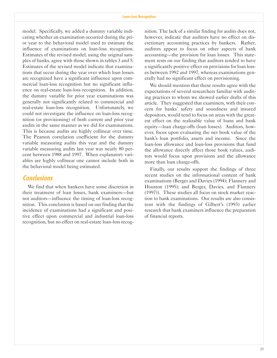model. Specifically, we added a dummy variable indicating whether an examination occurred during the prior year to the behavioral model used to estimate the influence of examinations on loan-loss recognition. Estimates of the revised model, using the original samples of banks, agree with those shown in tables 3 and 5. Estimates of the revised model indicate that examinations that occur during the year over which loan losses are recognized have a significant influence upon commercial loan-loss recognition but no significant influence on real-estate loan-loss recognition. In addition, the dummy variable for prior year examinations was generally not significantly related to commercial and real-estate loan-loss recognition. Unfortunately, we could not investigate the influence on loan-loss recognition (or provisioning) of both current and prior year audits in the same manner as we did for examinations. This is because audits are highly collinear over time. The Pearson correlation coefficient for the dummy variable measuring audits this year and the dummy variable measuring audits last year was nearly 80 percent between 1988 and 1997. When explanatory variables are highly collinear one cannot include both in the behavioral model being estimated.

## **Conclusions**

We find that when bankers have some discretion in their treatment of loan losses, bank examiners—but not auditors—influence the timing of loan-loss recognition. This conclusion is based on our finding that the incidence of examinations had a significant and positive effect upon commercial and industrial loan-loss recognition, but no effect on real-estate loan-loss recog-

nition. The lack of a similar finding for audits does not, however, indicate that auditors have no effect on discretionary accounting practices by bankers. Rather, auditors appear to focus on other aspects of bank accounting—the provision for loan losses. This statement rests on our finding that auditors tended to have a significantly positive effect on provisions for loan losses between 1992 and 1997, whereas examinations generally had no significant effect on provisioning.

We should mention that these results agree with the expectations of several researchers familiar with auditing practices to whom we showed earlier drafts of this article. They suggested that examiners, with their concern for banks' safety and soundness and insured depositors, would tend to focus on areas with the greatest effect on the realizable value of loans and bank equity-loan charge-offs (loan losses). Auditors, however, focus upon evaluating the net book value of the bank's loan portfolio, assets and income. Since the loan-loss allowance and loan-loss provisions that fund the allowance directly affect those book values, auditors would focus upon provisions and the allowance more than loan charge-offs.

Finally, our results support the findings of three recent studies on the informational content of bank examinations (Berger and Davies (1994); Flannery and Houston (1995); and Berger, Davies, and Flannery (1997)). These studies all focus on stock market reaction to bank examinations. Our results are also consistent with the findings of Gilbert's (1993) earlier research that bank examiners influence the preparation of financial reports.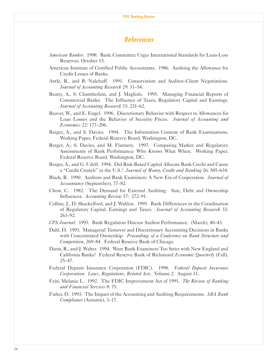## **References**

- *American Banker*. 1998. Basle Committee Urges International Standards for Loan-Loss Reserves. October 15.
- American Institute of Certified Public Accountants. 1986. Auditing the Allowance for Credit Losses of Banks.
- Antle, R., and B. Nalebuff. 1991. Conservatism and Auditor-Client Negotiations. *Journal of Accounting Research 29: 31-54.*
- Beatty, A., S. Chamberlain, and J. Magliolo. 1995. Managing Financial Reports of Commercial Banks: The Influence of Taxes, Regulatory Capital and Earnings. *Journal of Accounting Research 33: 231–62.*
- Beaver, W., and E. Engel. 1996. Discretionary Behavior with Respect to Allowances for Loan Losses and the Behavior of Security Prices. *Journal of Accounting and Economics* 22: 177–206.
- Berger, A., and S. Davies. 1994. The Information Content of Bank Examinations. Working Paper, Federal Reserve Board, Washington, DC.
- Berger, A., S. Davies, and M. Flannery. 1997. Comparing Market and Regulatory Assessments of Bank Performance: Who Knows What When. Working Paper, Federal Reserve Board, Washington, DC.
- Berger, A., and G. Udell. 1994. Did Risk-Based Capital Allocate Bank Credit and Cause a "Credit Crunch" in the U.S.? *Journal of Money, Credit and Banking* 26: 585–634.
- Black, R. 1990. Auditors and Bank Examiners: A New Era of Cooperation. *Journal of Accountancy* (September), 77-82.
- Chow, C. 1982. The Demand for External Auditing: Size, Debt and Ownership Influences. *Accounting Review* 57: 272-91.
- Collins, J., D. Shackelford, and J. Wahlen. 1995. Bank Differences in the Coordination of Regulatory Capital, Earnings and Taxes. *Journal of Accounting Research* 33: 263-92.
- *CPA Journal.* 1993. Bank Regulators Discuss Auditor Performance. (March), 40–43.
- Dahl, D. 1993. Managerial Turnover and Discretionary Accounting Decisions in Banks with Concentrated Ownership. *Proceedings of a Conference on Bank Structure and Competition*, 269–84. Federal Reserve Bank of Chicago.
- Darin, R., and J. Walter. 1994. Were Bank Examiners Too Strict with New England and California Banks? Federal Reserve Bank of Richmond *Economic Quarterly* (Fall), 2547.
- Federal Deposit Insurance Corporation (FDIC). 1998. *Federal Deposit Insurance Corporation: Laws, Regulations, Related Acts*. Volume 2. August 31.
- Fein, Melanie L. 1992. The FDIC Improvement Act of 1991. *The Review of Banking and Financial Services* 8: 75.
- Fisher, D. 1993. The Impact of the Accounting and Auditing Requirements. *ABA Bank Compliance* (Autumn), 3–17.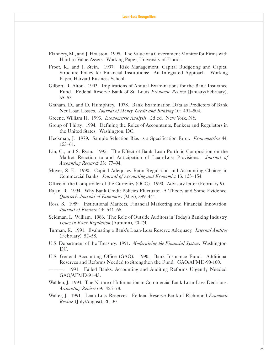- Flannery, M., and J. Houston. 1995. The Value of a Government Monitor for Firms with Hard-to-Value Assets. Working Paper, University of Florida.
- Froot, K., and J. Stein. 1997. Risk Management, Capital Budgeting and Capital Structure Policy for Financial Institutions: An Integrated Approach. Working Paper, Harvard Business School.
- Gilbert, R. Alton. 1993. Implications of Annual Examinations for the Bank Insurance Fund. Federal Reserve Bank of St. Louis *Economic Review* (January/February),  $35 - 52$ .
- Graham, D., and D. Humphrey. 1978. Bank Examination Data as Predictors of Bank Net Loan Losses. *Journal of Money, Credit and Banking* 10: 491–504.
- Greene, William H. 1993. *Econometric Analysis*. 2d ed. New York, NY.
- Group of Thirty. 1994. Defining the Roles of Accountants, Bankers and Regulators in the United States. Washington, DC.
- Heckman, J. 1979. Sample Selection Bias as a Specification Error. *Econometrica* 44: 153-61.
- Liu, C., and S. Ryan. 1995. The Effect of Bank Loan Portfolio Composition on the Market Reaction to and Anticipation of Loan-Loss Provisions. *Journal of Accounting Research* 33: 77-94.
- Moyer, S. E. 1990. Capital Adequacy Ratio Regulation and Accounting Choices in Commercial Banks. *Journal of Accounting and Economics* 13: 123-154.
- Office of the Comptroller of the Currency (OCC). 1990. Advisory letter (February 9).
- Rajan, R. 1994. Why Bank Credit Policies Fluctuate: A Theory and Some Evidence. *Quarterly Journal of Economics* (May), 399–441.
- Ross, S. 1989. Institutional Markets, Financial Marketing and Financial Innovation. *Journal of Finance* 44: 541–66.
- Seidman, L. William. 1986. The Role of Outside Auditors in Today's Banking Industry. *Issues in Bank Regulation* (Autumn), 20–24.
- Turman, K. 1991. Evaluating a Bank's Loan-Loss Reserve Adequacy. *Internal Auditor*  $(February)$ , 52–58.
- U.S. Department of the Treasury. 1991. *Modernizing the Financial System*. Washington, DC.
- U.S. General Accounting Office (GAO). 1990. Bank Insurance Fund: Additional Reserves and Reforms Needed to Strengthen the Fund. GAO/AFMD-90-100.
- . 1991. Failed Banks: Accounting and Auditing Reforms Urgently Needed. GAO/AFMD-91-43.
- Wahlen, J. 1994. The Nature of Information in Commercial Bank Loan-Loss Decisions. *Accounting Review* 69: 455–78.
- Walter, J. 1991. Loan-Loss Reserves. Federal Reserve Bank of Richmond *Economic Review* (July/August), 20–30.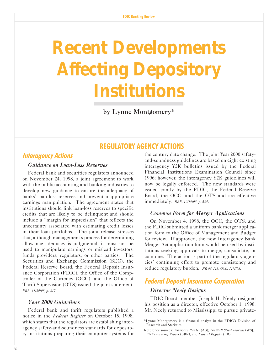# **Recent Developments Affecting Depository Institutions**

by Lynne Montgomery\*

## **REGULATORY AGENCY ACTIONS**

## **Interagency Actions**

## *Guidance on Loan-Loss Reserves*

Federal bank and securities regulators announced on November 24, 1998, a joint agreement to work with the public accounting and banking industries to develop new guidance to ensure the adequacy of banks' loan-loss reserves and prevent inappropriate earnings manipulation. The agreement states that institutions should link loan-loss reserves to specific credits that are likely to be delinquent and should include a "margin for imprecision" that reflects the uncertainty associated with estimating credit losses in their loan portfolios. The joint release stresses that, although management's process for determining allowance adequacy is judgmental, it must not be used to manipulate earnings or mislead investors, funds providers, regulators, or other parties. The Securities and Exchange Commission (SEC), the Federal Reserve Board, the Federal Deposit Insurance Corporation (FDIC), the Office of the Comptroller of the Currency (OCC), and the Office of Thrift Supervision (OTS) issued the joint statement. *BBR, 11/30/98, p. 817*.

## *Year 2000 Guidelines*

Federal bank and thrift regulators published a notice in the *Federal Register* on October 15, 1998, which states that the regulators are establishing interagency safety-and-soundness standards for depository institutions preparing their computer systems for

the century date change. The joint Year 2000 safetyand-soundness guidelines are based on eight existing interagency Y2K bulletins issued by the Federal Financial Institutions Examination Council since 1996; however, the interagency Y2K guidelines will now be legally enforced. The new standards were issued jointly by the FDIC, the Federal Reserve Board, the OCC, and the OTS and are effective immediately. *BBR, 10/19/98, p. 584*.

## *Common Form for Merger Applications*

On November 4, 1998, the OCC, the OTS, and the FDIC submitted a uniform bank merger application form to the Office of Management and Budget for review. If approved, the new Interagency Bank Merger Act application form would be used by institutions seeking approvals to merge, consolidate, or combine. The action is part of the regulatory agencies' continuing effort to promote consistency and reduce regulatory burden. *NR 98-113, OCC, 11/4/98*.

## **Federal Deposit Insurance Corporation** *Director Neely Resigns*

FDIC Board member Joseph H. Neely resigned his position as a director, effective October 1, 1998. Mr. Neely returned to Mississippi to pursue private-

<sup>\*</sup>Lynne Montgomery is a financial analyst in the FDICs Division of Research and Statistics.

Reference sources: *American Banker* (AB); *The Wall Street Journal* (WSJ); *BNAs Banking Report* (BBR); and *Federal Register* (FR).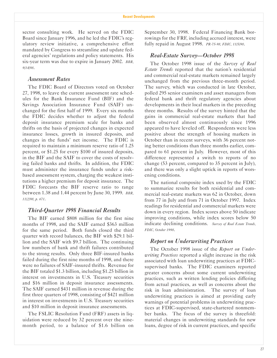sector consulting work. He served on the FDIC Board since January 1996, and he led the FDIC's regulatory review initiative, a comprehensive effort mandated by Congress to streamline and update federal agencies' regulations and policy statements. His six-year term was due to expire in January 2002. *BBR, 9/14/98*.

## *Assessment Rates*

The FDIC Board of Directors voted on October 27, 1998, to leave the current assessment rate schedules for the Bank Insurance Fund (BIF) and the Savings Association Insurance Fund (SAIF) unchanged for the first half of 1999. Every six months the FDIC decides whether to adjust the federal deposit insurance premium scale for banks and thrifts on the basis of projected changes in expected insurance losses, growth in insured deposits, and changes in the funds' net income. The FDIC is required to maintain a minimum reserve ratio of 1.25 percent, or \$1.25 for every \$100 of insured deposits, in the BIF and the SAIF to cover the costs of resolving failed banks and thrifts. In addition, the FDIC must administer the insurance funds under a riskbased assessment system, charging the weakest institutions a higher premium for deposit insurance. The FDIC forecasts the BIF reserve ratio to range between 1.38 and 1.44 percent by June 30, 1999. *BBR, 11/2/98, p. 671*.

## *Third-Quarter 1998 Financial Results*

The BIF earned \$808 million for the first nine months of 1998, and the SAIF earned \$363 million for the same period. Both funds closed the third quarter with record balances, the BIF with \$29.1 billion and the SAIF with \$9.7 billion. The continuing low numbers of bank and thrift failures contributed to the strong results. Only three BIF-insured banks failed during the first nine months of 1998, and there were no failures of SAIF-insured thrifts. Revenue for the BIF totaled \$1.3 billion, including \$1.25 billion in interest on investments in U.S. Treasury securities and \$16 million in deposit insurance assessments. The SAIF earned \$431 million in revenue during the first three quarters of 1998, consisting of \$421 million in interest on investments in U.S. Treasury securities and \$10 million in deposit insurance assessments.

The FSLIC Resolution Fund (FRF) assets in liquidation were reduced by 32 percent over the ninemonth period, to a balance of \$1.6 billion on September 30, 1998. Federal Financing Bank borrowings for the FRF, including accrued interest, were fully repaid in August 1998. *PR-75-98, FDIC, 11/5/98*.

### *Real-Estate Survey*—October 1998

The October 1998 issue of the *Survey of Real Estate Trends* reported that the nation's residential and commercial real-estate markets remained largely unchanged from the previous three-month period. The survey, which was conducted in late October, polled 295 senior examiners and asset managers from federal bank and thrift regulatory agencies about developments in their local markets in the preceding three months. Results of the survey hinted that the gains in commercial real-estate markets that had been observed almost continuously since 1996 appeared to have leveled off. Respondents were less positive about the strength of housing markets in October than in recent surveys, with 36 percent noting better conditions than three months earlier, compared to 61 percent in July. However, most of this difference represented a switch to reports of no change (53 percent, compared to 35 percent in July), and there was only a slight uptick in reports of worsening conditions.

The national composite index used by the FDIC to summarize results for both residential and commercial real-estate markets was 62 in October, down from 77 in July and from 71 in October 1997. Index readings for residential and commercial markets were down in every region. Index scores above 50 indicate improving conditions, while index scores below 50 indicate declining conditions. *Survey of Real Estate Trends, FDIC, October 1998*.

## *Report on Underwriting Practices*

The October 1998 issue of the *Report on Underwriting Practices* reported a slight increase in the risk associated with loan underwriting practices at FDICsupervised banks. The FDIC examiners reported greater concerns about some current underwriting practices, such as written lending policies differing from actual practices, as well as concerns about the risk in loan administration. The survey of loan underwriting practices is aimed at providing early warnings of potential problems in underwriting practices at FDIC-supervised, state-chartered nonmember banks. The focus of the survey is threefold: material changes in underwriting standards for new loans, degree of risk in current practices, and specific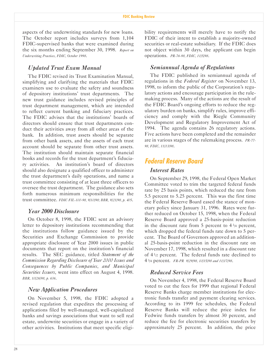aspects of the underwriting standards for new loans. The October report includes surveys from 1,104 FDIC-supervised banks that were examined during the six months ending September 30, 1998. *Report on Underwriting Practices, FDIC, October 1998*.

## *Updated Trust Exam Manual*

The FDIC revised its Trust Examination Manual, simplifying and clarifying the materials that FDIC examiners use to evaluate the safety and soundness of depository institutions' trust departments. The new trust guidance includes revised principles of trust department management, which are intended to reflect current banking and fiduciary practices. The FDIC advises that the institutions' boards of directors should ensure that trust departments conduct their activities away from all other areas of the bank. In addition, trust assets should be separate from other bank assets, and the assets of each trust account should be separate from other trust assets. The institution should maintain separate financial books and records for the trust department's fiduciary activities. An institution's board of directors should also designate a qualified officer to administer the trust department's daily operations, and name a trust committee consisting of at least three officers to oversee the trust department. The guidance also sets forth numerous minimum responsibilities for the trust committee. *FDIC FIL-100-98, 9/10/98; BBR, 9/21/98, p. 405*.

## *Year 2000 Disclosure*

On October 8, 1998, the FDIC sent an advisory letter to depository institutions recommending that the institutions follow guidance issued by the Securities and Exchange Commission to provide appropriate disclosure of Year 2000 issues in public documents that report on the institution's financial results. The SEC guidance, titled *Statement of the Commission Regarding Disclosure of Year 2000 Issues and Consequences by Public Companies, and Municipal Securities Issuers*, went into effect on August 4, 1998. *BBR, 10/26/98, p. 636*.

## *New Application Procedures*

On November 5, 1998, the FDIC adopted a revised regulation that expedites the processing of applications filed by well-managed, well-capitalized banks and savings associations that want to sell real estate, underwrite securities or engage in a variety of other activities. Institutions that meet specific eligibility requirements will merely have to notify the FDIC of their intent to establish a majority-owned securities or real-estate subsidiary. If the FDIC does not object within 30 days, the applicant can begin operations. *PR-76-98, FDIC, 11/5/98*.

## *Semiannual Agenda of Regulations*

The FDIC published its semiannual agenda of regulations in the *Federal Register* on November 13, 1998, to inform the public of the Corporation's regulatory actions and encourage participation in the rulemaking process. Many of the actions are the result of the FDIC Board's ongoing efforts to reduce the regulatory burden on banks, simplify rules, improve efficiency and comply with the Riegle Community Development and Regulatory Improvement Act of 1994. The agenda contains 26 regulatory actions. Five actions have been completed and the remainder are in various stages of the rulemaking process. *PR-77- 98, FDIC, 11/13/98*.

## **Federal Reserve Board**

## *Interest Rates*

On September 29, 1998, the Federal Open Market Committee voted to trim the targeted federal funds rate by 25 basis points, which reduced the rate from 5.5 percent to 5.25 percent. This was the first time the Federal Reserve Board eased the stance of monetary policy since January 31, 1996. Rates were further reduced on October 15, 1998, when the Federal Reserve Board approved a 25-basis-point reduction in the discount rate from 5 percent to  $4\frac{3}{4}$  percent, which dropped the federal funds rate down to 5 percent. The Board of Governors approved an additional 25-basis-point reduction in the discount rate on November 17, 1998, which resulted in a discount rate of 4 1/2 percent. The federal funds rate declined to 4 3/4 percent. *FR-PR 9/29/98, 10/15/98 and 11/17/98*.

## *Reduced Service Fees*

On November 4, 1998, the Federal Reserve Board voted to cut the fees for 1999 that regional Federal Reserve Banks charge member institutions for electronic funds transfer and payment clearing services. According to its 1999 fee schedules, the Federal Reserve Banks will reduce the price index for Fedwire funds transfers by almost 30 percent, and reduce the fee for electronic securities transfers by approximately 25 percent. In addition, the price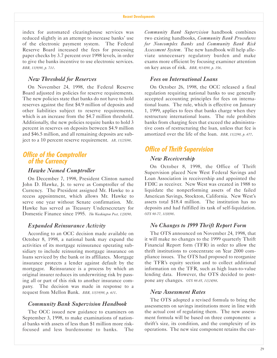index for automated clearinghouse services was reduced slightly in an attempt to increase banks' use of the electronic payment system. The Federal Reserve Board increased the fees for processing paper checks by 3.7 percent over 1998 levels, in order to give the banks incentive to use electronic services. *BBR, 11/9/98, p. 710*.

## *New Threshold for Reserves*

On November 24, 1998, the Federal Reserve Board adjusted its policies for reserve requirements. The new policies state that banks do not have to hold reserves against the first \$4.9 million of deposits and other liabilities subject to reserve requirements, which is an increase from the \$4.7 million threshold. Additionally, the new policies require banks to hold 3 percent in reserves on deposits between \$4.9 million and \$46.5 million, and all remaining deposits are subject to a 10 percent reserve requirement. *AB, 11/25/98*.

## **Office of the Comptroller of the Currency**

## *Hawke Named Comptroller*

On December 7, 1998, President Clinton named John D. Hawke, Jr. to serve as Comptroller of the Currency. The President assigned Mr. Hawke to a recess appointment, which allows Mr. Hawke to serve one year without Senate confirmation. Mr. Hawke has served as Treasury Undersecretary for Domestic Finance since 1995. *The Washington Post, 12/8/98*.

### *Expanded Reinsurance Activity*

According to an OCC decision made available on October 8, 1998, a national bank may expand the activities of its mortgage reinsurance operating subsidiary to include reinsuring mortgage insurance on loans serviced by the bank or its affiliates. Mortgage insurance protects a lender against default by the mortgagor. Reinsurance is a process by which an original insurer reduces its underwriting risk by passing all or part of this risk to another insurance company. The decision was made in response to a request from Mellon Bank. *BBR, 10/19/98, p. 601*.

#### *Community Bank Supervision Handbook*

The OCC issued new guidance to examiners on September 3, 1998, to make examinations of national banks with assets of less than \$1 million more riskfocused and less burdensome to banks. The

*Community Bank Supervision* handbook combines two existing handbooks, *Community Bank Procedures for Noncomplex Banks* and *Community Bank Risk Assessment System*. The new handbook will help alleviate unnecessary regulatory burden and make exams more efficient by focusing examiner attention on key areas of risk. *BBR, 9/14/98, p. 356*.

### *Fees on International Loans*

On October 26, 1998, the OCC released a final regulation requiring national banks to use generally accepted accounting principles for fees on international loans. The rule, which is effective on January 1, 1999, applies to fees that banks charge when they restructure international loans. The rule prohibits banks from charging fees that exceed the administrative costs of restructuring the loan, unless that fee is amortized over the life of the loan. *BBR, 11/2/98, p. 677*.

## **Office of Thrift Supervision**

#### *New Receivership*

On October 8, 1998, the Office of Thrift Supervision placed New West Federal Savings and Loan Association in receivership and appointed the FDIC as receiver. New West was created in 1988 to liquidate the nonperforming assets of the failed American Savings, Stockton, California. New West's assets total \$18.4 million. The institution has no deposits and had fulfilled its task of self-liquidation. *OTS 98-77, 10/8/98*.

## *No Changes to 1999 Thrift Report Form*

The OTS announced on November 24, 1998, that it will make no changes to the 1999 quarterly Thrift Financial Report form (TFR) in order to allow the thrift institutions to concentrate on Year 2000 compliance issues. The OTS had proposed to reorganize the TFR's equity section and to collect additional information on the TFR, such as high loan-to-value lending data. However, the OTS decided to postpone any changes. *OTS 98-85, 11/24/98*.

#### *New Assessment Rates*

The OTS adopted a revised formula to bring the assessments on savings institutions more in line with the actual cost of regulating them. The new assessment formula will be based on three components: a thrift's size, its condition, and the complexity of its operations. The new size component retains the cur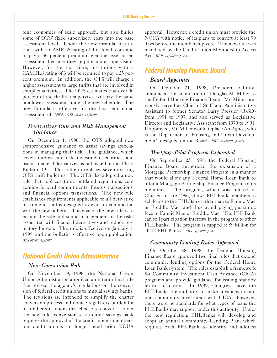rent economies of scale approach, but also builds some of OTS' fixed supervisory costs into the base assessment level. Under the new formula, institutions with a CAMELS rating of 4 or 5 will continue to pay a 50 percent premium over the asset-based assessment because they require more supervision. However, for the first time, institutions with a CAMELS rating of 3 will be required to pay a 25 percent premium. In addition, the OTS will charge a higher assessment to large thrifts that are involved in complex activities. The OTS estimates that over 90 percent of the thrifts it supervises will pay the same or a lower assessment under the new schedule. The new formula is effective for the first semiannual assessment of 1999. *OTS 98-88, 11/30/98*.

## *Derivatives Rule and Risk Management Guidance*

On December 1, 1998, the OTS adopted new comprehensive guidance to assist savings associations in managing their risk. The guidance, which covers interest-rate risk, investment securities, and use of financial derivatives, is published in the Thrift Bulletin 13a. This bulletin replaces seven existing OTS thrift bulletins. The OTS also adopted a new rule that replaces three outdated regulations concerning forward commitments, futures transactions, and financial options transactions. The new rule establishes requirements applicable to all derivative instruments and is designed to work in conjunction with the new bulletin. The goal of the new rule is to ensure the safe-and-sound management of the risks associated with financial derivatives and reduce regulatory burden. The rule is effective on January 1, 1999, and the bulletin is effective upon publication. *OTS 98-90, 12/1/98*.

## **National Credit Union Administration**

## *New Conversion Rule*

On November 19, 1998, the National Credit Union Administration approved an interim final rule that revised the agency's regulations on the conversion of federal credit unions to mutual savings banks. The revisions are intended to simplify the charter conversion process and reduce regulatory burden for insured credit unions that choose to convert. Under the new rule, conversion to a mutual savings bank requires the approval of the credit union's members, but credit unions no longer need prior NCUA

approval. However, a credit union must provide the NCUA with notice of its plans to convert at least 90 days before the membership vote. The new rule was mandated by the Credit Union Membership Access Act. *BBR, 11/30/98, p. 833*.

## **Federal Housing Finance Board**

## *Board Appointee*

On October 21, 1998, President Clinton announced the nomination of Douglas M. Miller to the Federal Housing Finance Board. Mr. Miller previously served as Chief of Staff and Administrative Assistant to former Senator Larry Pressler (R-SD) from 1991 to 1997, and also served as Legislative Director and Legislative Assistant from 1979 to 1991. If approved, Mr. Miller would replace Art Agnos, who is the Department of Housing and Urban Development's designee on the Board. *BBR, 10/26/98, p. 647*.

## *Mortgage Pilot Program Expanded*

On September 23, 1998, the Federal Housing Finance Board authorized the expansion of a Mortgage Partnership Finance Program in a manner that would allow any Federal Home Loan Bank to offer a Mortgage Partnership Finance Program to its members. The program, which was piloted in Chicago in late 1996, allows FHLBank members to sell loans to the FHLBank rather than to Fannie Mae or Freddie Mac, and thus avoid paying guarantee fees to Fannie Mae or Freddie Mac. The FHLBank can sell participation interests in the program to other FHLBanks. The program is capped at \$9 billion for all 12 FHLBanks. *BBR, 9/28/98, p. 473*.

## *Community Lending Rules Approved*

On October 28, 1998, the Federal Housing Finance Board approved two final rules that extend community lending options for the Federal Home Loan Bank System. The rules establish a framework for Community Investment Cash Advance (CICA) programs and provide guidance for issuing standby letters of credit. In 1989, Congress gave the FHLBanks the authority to make advances to support community investment with CICAs; however, there were no standards for what types of loans the FHLBanks may support under this authority. Under the new regulation, FHLBanks will develop and adopt an annual Community Lending Plan, which requires each FHLBank to identify and address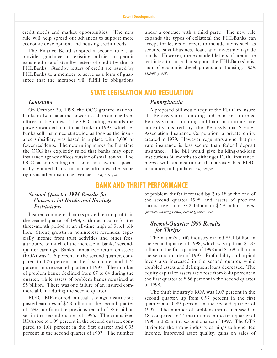credit needs and market opportunities. The new rule will help spread out advances to support more economic development and housing credit needs.

The Finance Board adopted a second rule that provides guidance on existing policies to permit expanded use of standby letters of credit by the 12 FHLBanks. Standby letters of credit are issued by FHLBanks to a member to serve as a form of guarantee that the member will fulfill its obligations

*Louisiana*

On October 20, 1998, the OCC granted national banks in Louisiana the power to sell insurance from offices in big cities. The OCC ruling expands the powers awarded to national banks in 1997, which let banks sell insurance statewide as long as the insurance subsidiary was based in a place with 5,000 or fewer residents. The new ruling marks the first time the OCC has explicitly ruled that banks may open insurance agency offices outside of small towns. The OCC based its ruling on a Louisiana law that specifically granted bank insurance affiliates the same rights as other insurance agencies. *AB, 11/12/98*.

## under a contract with a third party. The new rule expands the types of collateral the FHLBanks can accept for letters of credit to include items such as secured small-business loans and investment-grade bonds. However, the expanded letters of credit are restricted to those that support the FHLBanks' mission of economic development and housing. *BBR, 11/2/98, p. 685*.

## **STATE LEGISLATION AND REGULATION**

#### *Pennsylvania*

A proposed bill would require the FDIC to insure all Pennsylvania building-and-loan institutions. Pennsylvania's building-and-loan institutions are currently insured by the Pennsylvania Savings Association Insurance Corporation, a private entity created in 1979. However, regulators argue that private insurance is less secure than federal deposit insurance. The bill would give building-and-loan institutions 30 months to either get FDIC insurance, merge with an institution that already has FDIC insurance, or liquidate. *AB, 12/4/98*.

## **BANK AND THRIFT PERFORMANCE**

## *Second-Quarter 1998 Results for Commercial Banks and Savings Institutions*

Insured commercial banks posted record profits in the second quarter of 1998, with net income for the three-month period at an all-time high of \$16.1 billion. Strong growth in noninterest revenues, especially income from trust activities and other fees, attributed to much of the increase in banks' secondquarter earnings. Banks' annualized return on assets (ROA) was 1.25 percent in the second quarter, compared to 1.26 percent in the first quarter and 1.24 percent in the second quarter of 1997. The number of problem banks declined from 67 to 64 during the quarter, while assets of problem banks remained at \$5 billion. There was one failure of an insured commercial bank during the second quarter.

FDIC BIF-insured mutual savings institutions posted earnings of \$2.8 billion in the second quarter of 1998, up from the previous record of \$2.6 billion set in the second quarter of 1996. The annualized ROA rose to 1.09 percent in the second quarter, compared to 1.01 percent in the first quarter and 0.95 percent in the second quarter of 1997. The number

of problem thrifts increased by 2 to 18 at the end of the second quarter 1998, and assets of problem thrifts rose from \$2.3 billion to \$2.9 billion. *FDIC Quarterly Banking Profile, Second Quarter 1998*.

## *Second-Quarter 1998 Results for Thrifts*

The nation's thrift industry earned \$2.1 billion in the second quarter of 1998, which was up from \$1.87 billion in the first quarter of 1998 and \$1.69 billion in the second quarter of 1997. Profitability and capital levels also increased in the second quarter, while troubled assets and delinquent loans decreased. The equity capital to assets ratio rose from 8.40 percent in the first quarter to 8.56 percent in the second quarter of 1998.

The thrift industry's ROA was 1.07 percent in the second quarter, up from 0.97 percent in the first quarter and 0.89 percent in the second quarter of 1997. The number of problem thrifts increased to 18, compared to 14 institutions in the first quarter of 1998 and 25 in the second quarter of 1997. The OTS attributed the strong industry earnings to higher fee income, improved asset quality, gains on sales of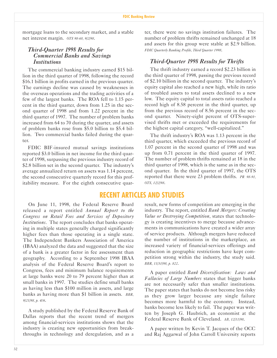mortgage loans to the secondary market, and a stable net interest margin. *OTS 98-68, 9/2/98*.

## *Third-Quarter 1998 Results for Commercial Banks and Savings Institutions*

The commercial banking industry earned \$15 billion in the third quarter of 1998, following the record \$16.1 billion in profits earned in the previous quarter. The earnings decline was caused by weaknesses in the overseas operations and the trading activities of a few of the largest banks. The ROA fell to 1.15 percent in the third quarter, down from 1.25 in the second quarter of 1998 and from 1.22 percent in the third quarter of 1997. The number of problem banks increased from 64 to 70 during the quarter, and assets of problem banks rose from \$5.0 billion to \$5.4 billion. Two commercial banks failed during the quarter.

FDIC BIF-insured mutual savings institutions reported \$3.0 billion in net income for the third quarter of 1998, surpassing the previous industry record of \$2.8 billion set in the second quarter. The industry's average annualized return on assets was 1.14 percent, the second consecutive quarterly record for this profitability measure. For the eighth consecutive quar-

On June 11, 1998, the Federal Reserve Board released a report entitled *Annual Report to the Congress on Retail Fees and Services of Depository Institutions*. The report concludes that banks operating in multiple states generally charged significantly higher fees than those operating in a single state. The Independent Bankers Association of America (IBAA) analyzed the data and suggested that the size of a bank is a greater factor in fee assessment than geography. According to a September 1998 IBAA analysis of the Federal Reserve Board's report to Congress, fees and minimum balance requirements at large banks were 20 to 79 percent higher than at small banks in 1997. The studies define small banks as having less than \$100 million in assets, and large banks as having more than \$1 billion in assets. *BBR, 9/21/98, p. 406*.

A study published by the Federal Reserve Bank of Dallas reports that the recent trend of mergers among financial-services institutions shows that the industry is creating new opportunities from breakthroughs in technology and deregulation, and as a

ter, there were no savings institution failures. The number of problem thrifts remained unchanged at 18 and assets for this group were stable at \$2.9 billion. *FDIC Quarterly Banking Profile, Third Quarter 1998*.

## *Third-Quarter 1998 Results for Thrifts*

The thrift industry earned a record \$2.23 billion in the third quarter of 1998, passing the previous record of \$2.10 billion in the second quarter. The industry's equity capital also reached a new high, while its ratio of troubled assets to total assets declined to a new low. The equity capital to total assets ratio reached a record high of 8.58 percent in the third quarter, up from the previous record of 8.56 percent in the second quarter. Ninety-eight percent of OTS-supervised thrifts met or exceeded the requirements for the highest capital category, "well-capitalized."

The thrift industry's ROA was 1.13 percent in the third quarter, which exceeded the previous record of 1.07 percent in the second quarter of 1998 and was up from 0.71 percent in the third quarter of 1997. The number of problem thrifts remained at 18 in the third quarter of 1998, which is the same as in the second quarter. In the third quarter of 1997, the OTS reported that there were 23 problem thrifts. *PR 98-91, OTS, 12/2/98*.

## **RECENT ARTICLES AND STUDIES**

result, new forms of competition are emerging in the industry. The report, entitled *Bank Mergers: Creating Value or Destroying Competition*, states that technology is creating incentives to merge because advancements in communications have created a wider array of service products. Although mergers have reduced the number of institutions in the marketplace, an increased variety of financial-services offerings and reduction in geographic restrictions have kept competition strong within the industry, the study said. *BBR, 11/30/98, p. 822*.

A paper entitled *Bank Diversification: Laws and Fallacies of Large Numbers* states that bigger banks are not necessarily safer than smaller institutions. The paper states that banks do not become less risky as they grow larger because any single failure becomes more harmful to the economy. Instead, banks become less likely to fail. The paper was written by Joseph G. Haubrich, an economist at the Federal Reserve Bank of Cleveland. *AB, 12/11/98*.

A paper written by Kevin T. Jacques of the OCC and Raj Aggarwal of John Carroll University reports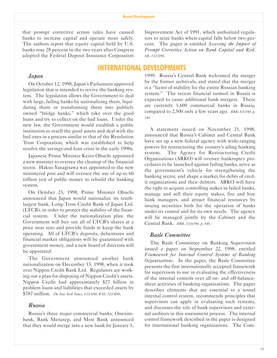that prompt corrective action rules have caused banks to increase capital and operate more safely. The authors report that equity capital held by U.S. banks rose 28 percent in the two years after Congress adopted the Federal Deposit Insurance Corporation

Improvement Act of 1991, which authorized regulators to seize banks when capital falls below two percent. The paper is entitled *Assessing the Impact of Prompt Corrective Action on Bank Capital and Risk*. *AB, 11/13/98*.

## **INTERNATIONAL DEVELOPMENTS**

#### *Japan*

On October 12, 1998, Japan's Parliament approved legislation that is intended to revive the banking system. The legislation allows the Government to deal with large, failing banks by nationalizing them, liquidating them or transforming them into publicly owned "bridge banks," which take over the good loans and try to collect on the bad loans. Under the new law, the Government would establish a public institution to resell the good assets and deal with the bad ones in a process similar to that of the Resolution Trust Corporation, which was established to help resolve the savings-and-loan crisis in the early 1990s.

Japanese Prime Minister Keizo Obuchi appointed a new minister to oversee the cleanup of the financial sector. Hakuo Yanagisawa was appointed to the new ministerial post and will oversee the use of up to 60 trillion yen of public money to rebuild the banking system.

On October 23, 1998, Prime Minister Obuchi announced that Japan would nationalize its tenthlargest bank, Long-Term Credit Bank of Japan Ltd. (LTCB), in order to protect the stability of the financial system. Under the nationalization plan, the Government will buy out all of LTCB's shares at a price near zero and provide funds to keep the bank operating. All of LTCB's deposits, debentures and financial market obligations will be guaranteed with government money, and a new board of directors will be appointed.

The Government announced another bank nationalization on December 13, 1998, when it took over Nippon Credit Bank Ltd. Regulators are working out a plan for disposing of Nippon Credit's assets. Nippon Credit had approximately \$27 billion in problem loans and liabilities that exceeded assets by \$787 million. *The New York Times, 10/13/98; WSJ, 12/14/98*.

## *Russia*

Russia's three major commercial banks, Oneximbank, Bank Menatep, and Most Bank announced that they would merge into a new bank by January 1,

1999. Russia's Central Bank welcomed the merger by the former archrivals, and stated that the merger is a "factor of stability for the entire Russian banking system." The recent financial turmoil in Russia is expected to cause additional bank mergers. There are currently 1,600 commercial banks in Russia, compared to 2,500 only a few years ago. *BBR, 8/31/98, p. 342*.

A statement issued on November 21, 1998, announced that Russia's Cabinet and Central Bank have set up a new federal agency with wide-ranging powers for restructuring the country's ailing banking system. The Agency for Restructuring Credit Organizations (ARKO) will oversee bankruptcy procedures to be launched against failing banks, serve as the government's vehicle for strengthening the banking sector, and shape a market for debts of credit organizations and their debtors. ARKO will have the right to acquire controlling stakes in failed banks, manage and sell their equity stakes, fire and hire bank managers, and attract financial resources by issuing securities both for the operation of banks under its control and for its own needs. The agency will be managed jointly by the Cabinet and the Central Bank. *BBR, 11/30/98, p. 845*.

### *Basle Committee*

The Basle Committee on Banking Supervision issued a paper on September 22, 1998, entitled *Framework for Internal Control Systems of Banking Organizations*. In the paper, the Basle Committee presents the first internationally accepted framework for supervisors to use in evaluating the effectiveness of the internal controls over all on- and off-balancesheet activities of banking organizations. The paper describes elements that are essential to a sound internal control system, recommends principles that supervisors can apply in evaluating such systems, and discusses the role of bank supervisors and external auditors in this assessment process. The internal control framework described in the paper is designed for international banking organizations. The Com